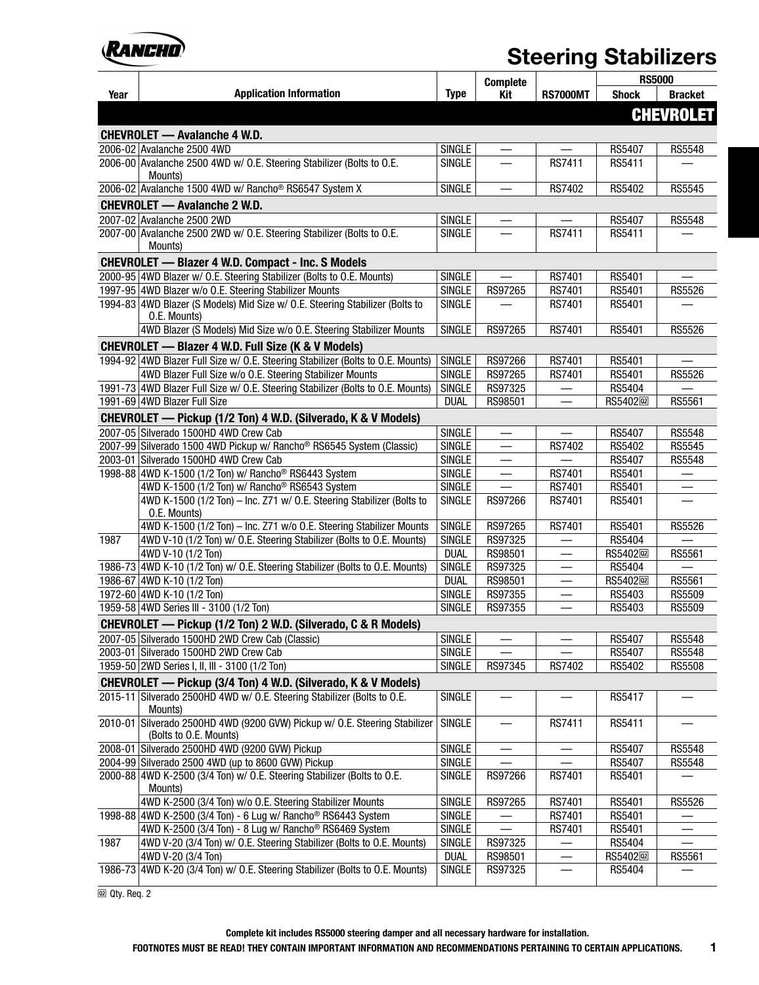

|      |                                                                                                      |                     | <b>Complete</b>          |                          | <b>RS5000</b>          |                  |
|------|------------------------------------------------------------------------------------------------------|---------------------|--------------------------|--------------------------|------------------------|------------------|
| Year | <b>Application Information</b>                                                                       | <b>Type</b>         | Kit                      | <b>RS7000MT</b>          | <b>Shock</b>           | <b>Bracket</b>   |
|      |                                                                                                      |                     |                          |                          |                        | <b>CHEVROLET</b> |
|      | <b>CHEVROLET — Avalanche 4 W.D.</b>                                                                  |                     |                          |                          |                        |                  |
|      | 2006-02 Avalanche 2500 4WD                                                                           | <b>SINGLE</b>       |                          |                          | <b>RS5407</b>          | <b>RS5548</b>    |
|      | 2006-00 Avalanche 2500 4WD w/ O.E. Steering Stabilizer (Bolts to O.E.                                | <b>SINGLE</b>       | $\equiv$                 | RS7411                   | RS5411                 |                  |
|      | Mounts)                                                                                              |                     |                          |                          |                        |                  |
|      | 2006-02 Avalanche 1500 4WD w/ Rancho <sup>®</sup> RS6547 System X                                    | <b>SINGLE</b>       | $\overline{\phantom{0}}$ | RS7402                   | RS5402                 | <b>RS5545</b>    |
|      | <b>CHEVROLET — Avalanche 2 W.D.</b>                                                                  |                     |                          |                          |                        |                  |
|      | 2007-02 Avalanche 2500 2WD                                                                           | SINGLE              | —                        |                          | RS5407                 | <b>RS5548</b>    |
|      | 2007-00 Avalanche 2500 2WD w/ O.E. Steering Stabilizer (Bolts to O.E.                                | <b>SINGLE</b>       |                          | <b>RS7411</b>            | RS5411                 |                  |
|      | Mounts)                                                                                              |                     |                          |                          |                        |                  |
|      | <b>CHEVROLET - Blazer 4 W.D. Compact - Inc. S Models</b>                                             |                     |                          |                          |                        |                  |
|      | 2000-95 4WD Blazer w/ O.E. Steering Stabilizer (Bolts to O.E. Mounts)                                | <b>SINGLE</b>       | $\equiv$                 | <b>RS7401</b>            | RS5401                 |                  |
|      | 1997-95 4WD Blazer w/o O.E. Steering Stabilizer Mounts                                               | <b>SINGLE</b>       | RS97265                  | RS7401                   | RS5401                 | <b>RS5526</b>    |
|      | 1994-83 4WD Blazer (S Models) Mid Size w/ O.E. Steering Stabilizer (Bolts to<br>O.E. Mounts)         | <b>SINGLE</b>       |                          | RS7401                   | RS5401                 |                  |
|      | 4WD Blazer (S Models) Mid Size w/o O.E. Steering Stabilizer Mounts                                   | <b>SINGLE</b>       | RS97265                  | RS7401                   | RS5401                 | RS5526           |
|      | <b>CHEVROLET — Blazer 4 W.D. Full Size (K &amp; V Models)</b>                                        |                     |                          |                          |                        |                  |
|      | 1994-92 4WD Blazer Full Size w/ O.E. Steering Stabilizer (Bolts to O.E. Mounts)                      | <b>SINGLE</b>       | RS97266                  | RS7401                   | RS5401                 |                  |
|      | 4WD Blazer Full Size w/o O.E. Steering Stabilizer Mounts                                             | <b>SINGLE</b>       | RS97265                  | <b>RS7401</b>            | RS5401                 | <b>RS5526</b>    |
|      | 1991-73 4WD Blazer Full Size w/ O.E. Steering Stabilizer (Bolts to O.E. Mounts)                      | <b>SINGLE</b>       | RS97325                  |                          | RS5404                 |                  |
|      | 1991-69 4WD Blazer Full Size                                                                         | <b>DUAL</b>         | RS98501                  |                          | RS5402 <sup>[22]</sup> | RS5561           |
|      | CHEVROLET - Pickup (1/2 Ton) 4 W.D. (Silverado, K & V Models)                                        |                     |                          |                          |                        |                  |
|      | 2007-05 Silverado 1500HD 4WD Crew Cab                                                                | <b>SINGLE</b>       |                          |                          | RS5407                 | <b>RS5548</b>    |
|      | 2007-99 Silverado 1500 4WD Pickup w/ Rancho® RS6545 System (Classic)                                 | <b>SINGLE</b>       |                          | RS7402                   | RS5402                 | <b>RS5545</b>    |
|      | 2003-01 Silverado 1500HD 4WD Crew Cab                                                                | <b>SINGLE</b>       |                          |                          | RS5407                 | <b>RS5548</b>    |
|      | 1998-88 4WD K-1500 (1/2 Ton) w/ Rancho <sup>®</sup> RS6443 System                                    | <b>SINGLE</b>       |                          | RS7401                   | RS5401                 |                  |
|      | 4WD K-1500 (1/2 Ton) w/ Rancho® RS6543 System                                                        | SINGLE              |                          | RS7401                   | RS5401                 |                  |
|      | 4WD K-1500 (1/2 Ton) - Inc. Z71 w/ O.E. Steering Stabilizer (Bolts to<br>O.E. Mounts)                | <b>SINGLE</b>       | RS97266                  | RS7401                   | RS5401                 |                  |
|      | 4WD K-1500 (1/2 Ton) - Inc. Z71 w/o O.E. Steering Stabilizer Mounts                                  | <b>SINGLE</b>       | RS97265                  | RS7401                   | RS5401                 | RS5526           |
| 1987 | 4WD V-10 (1/2 Ton) w/ O.E. Steering Stabilizer (Bolts to O.E. Mounts)                                | <b>SINGLE</b>       | RS97325                  |                          | RS5404                 |                  |
|      | 4WD V-10 (1/2 Ton)                                                                                   | <b>DUAL</b>         | RS98501                  | $\overline{\phantom{0}}$ | RS5402 <sub>[22]</sub> | RS5561           |
|      | 1986-73 4WD K-10 (1/2 Ton) w/ O.E. Steering Stabilizer (Bolts to O.E. Mounts)                        | <b>SINGLE</b>       | RS97325                  |                          | RS5404                 |                  |
|      | 1986-67 4WD K-10 (1/2 Ton)                                                                           | <b>DUAL</b>         | RS98501                  |                          | RS5402 <sup>[22]</sup> | RS5561           |
|      | 1972-60 4WD K-10 (1/2 Ton)                                                                           | <b>SINGLE</b>       | RS97355                  |                          | RS5403                 | <b>RS5509</b>    |
|      | 1959-58 4WD Series III - 3100 (1/2 Ton)                                                              | <b>SINGLE</b>       | RS97355                  |                          | RS5403                 | RS5509           |
|      | CHEVROLET - Pickup (1/2 Ton) 2 W.D. (Silverado, C & R Models)                                        |                     |                          |                          |                        |                  |
|      | 2007-05 Silverado 1500HD 2WD Crew Cab (Classic)                                                      | SINGLE <sup>1</sup> |                          |                          | RS5407                 | <b>RS5548</b>    |
|      | 2003-01 Silverado 1500HD 2WD Crew Cab                                                                | <b>SINGLE</b>       |                          |                          | RS5407                 | <b>RS5548</b>    |
|      | 1959-50 2WD Series I, II, III - 3100 (1/2 Ton)                                                       | SINGLE              | RS97345                  | RS7402                   | RS5402                 | <b>RS5508</b>    |
|      | CHEVROLET - Pickup (3/4 Ton) 4 W.D. (Silverado, K & V Models)                                        |                     |                          |                          |                        |                  |
|      | 2015-11 Silverado 2500HD 4WD w/ O.E. Steering Stabilizer (Bolts to O.E.<br>Mounts)                   | <b>SINGLE</b>       |                          |                          | RS5417                 |                  |
|      | 2010-01 Silverado 2500HD 4WD (9200 GVW) Pickup w/ O.E. Steering Stabilizer<br>(Bolts to O.E. Mounts) | <b>SINGLE</b>       |                          | RS7411                   | RS5411                 |                  |
|      | 2008-01 Silverado 2500HD 4WD (9200 GVW) Pickup                                                       | <b>SINGLE</b>       |                          | —                        | <b>RS5407</b>          | <b>RS5548</b>    |
|      | 2004-99 Silverado 2500 4WD (up to 8600 GVW) Pickup                                                   | <b>SINGLE</b>       |                          |                          | RS5407                 | <b>RS5548</b>    |
|      | 2000-88 4WD K-2500 (3/4 Ton) w/ O.E. Steering Stabilizer (Bolts to O.E.<br>Mounts)                   | <b>SINGLE</b>       | RS97266                  | RS7401                   | RS5401                 |                  |
|      | 4WD K-2500 (3/4 Ton) w/o O.E. Steering Stabilizer Mounts                                             | <b>SINGLE</b>       | RS97265                  | RS7401                   | RS5401                 | RS5526           |
|      | 1998-88 4WD K-2500 (3/4 Ton) - 6 Lug w/ Rancho <sup>®</sup> RS6443 System                            | <b>SINGLE</b>       |                          | RS7401                   | RS5401                 |                  |
|      | 4WD K-2500 (3/4 Ton) - 8 Lug w/ Rancho® RS6469 System                                                | <b>SINGLE</b>       |                          | RS7401                   | RS5401                 |                  |
| 1987 | 4WD V-20 (3/4 Ton) w/ O.E. Steering Stabilizer (Bolts to O.E. Mounts)                                | <b>SINGLE</b>       | RS97325                  |                          | RS5404                 |                  |
|      | 4WD V-20 (3/4 Ton)                                                                                   | <b>DUAL</b>         | RS98501                  |                          | RS5402 <sub>[22]</sub> | RS5561           |
|      | 1986-73 4WD K-20 (3/4 Ton) w/ O.E. Steering Stabilizer (Bolts to O.E. Mounts)                        | <b>SINGLE</b>       | RS97325                  |                          | RS5404                 |                  |

 $Qty.$  Req. 2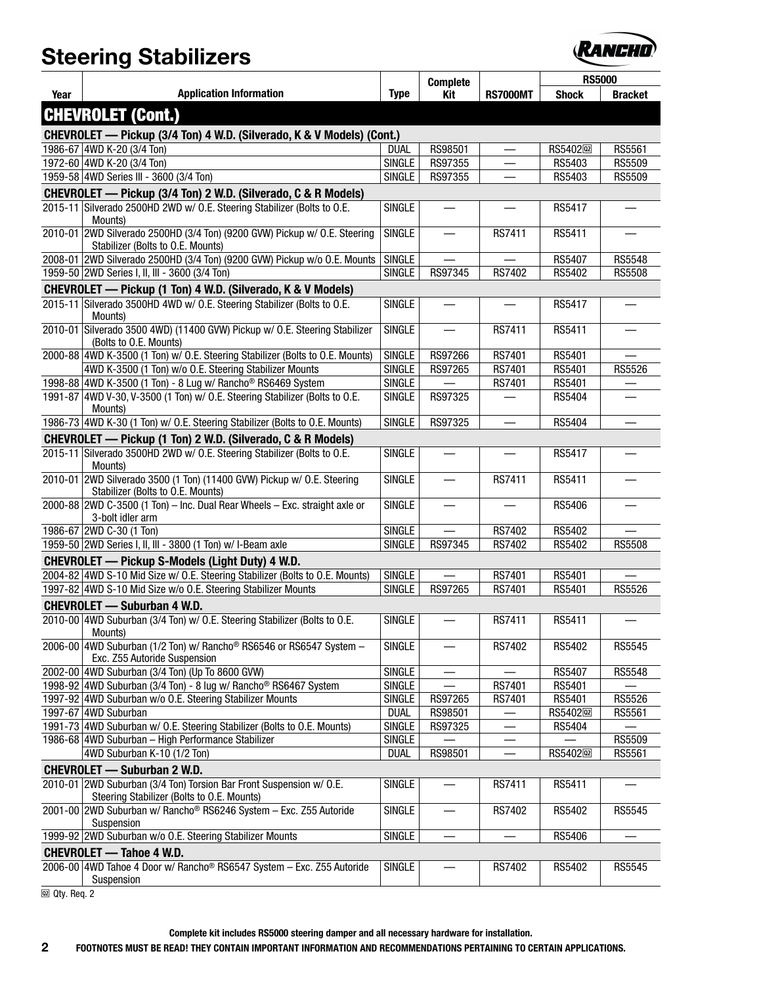

|      |                                                                                                                   |               | <b>Complete</b>          |                 | <b>RS5000</b>          |                |
|------|-------------------------------------------------------------------------------------------------------------------|---------------|--------------------------|-----------------|------------------------|----------------|
| Year | <b>Application Information</b>                                                                                    | <b>Type</b>   | Kit                      | <b>RS7000MT</b> | <b>Shock</b>           | <b>Bracket</b> |
|      | <b>CHEVROLET (Cont.)</b>                                                                                          |               |                          |                 |                        |                |
|      | CHEVROLET - Pickup (3/4 Ton) 4 W.D. (Silverado, K & V Models) (Cont.)                                             |               |                          |                 |                        |                |
|      | 1986-67 4WD K-20 (3/4 Ton)                                                                                        | <b>DUAL</b>   | RS98501                  |                 | RS5402 <sub>[22]</sub> | RS5561         |
|      | 1972-60 4WD K-20 (3/4 Ton)                                                                                        | SINGLE        | RS97355                  |                 | RS5403                 | RS5509         |
|      | 1959-58 4WD Series III - 3600 (3/4 Ton)                                                                           | <b>SINGLE</b> | RS97355                  |                 | RS5403                 | RS5509         |
|      | CHEVROLET — Pickup (3/4 Ton) 2 W.D. (Silverado, C & R Models)                                                     |               |                          |                 |                        |                |
|      | 2015-11 Silverado 2500HD 2WD w/ O.E. Steering Stabilizer (Bolts to O.E.<br>Mounts)                                | SINGLE        |                          |                 | RS5417                 |                |
|      | 2010-01 2WD Silverado 2500HD (3/4 Ton) (9200 GVW) Pickup w/ O.E. Steering<br>Stabilizer (Bolts to O.E. Mounts)    | <b>SINGLE</b> | $\overline{\phantom{0}}$ | RS7411          | RS5411                 |                |
|      | 2008-01 2WD Silverado 2500HD (3/4 Ton) (9200 GVW) Pickup w/o O.E. Mounts                                          | <b>SINGLE</b> |                          |                 | RS5407                 | RS5548         |
|      | 1959-50 2WD Series I, II, III - 3600 (3/4 Ton)                                                                    | SINGLE        | RS97345                  | RS7402          | RS5402                 | <b>RS5508</b>  |
|      | CHEVROLET — Pickup (1 Ton) 4 W.D. (Silverado, K & V Models)                                                       |               |                          |                 |                        |                |
|      | 2015-11 Silverado 3500HD 4WD w/ O.E. Steering Stabilizer (Bolts to O.E.<br>Mounts)                                | <b>SINGLE</b> |                          |                 | RS5417                 |                |
|      | 2010-01 Silverado 3500 4WD) (11400 GVW) Pickup w/ O.E. Steering Stabilizer<br>(Bolts to O.E. Mounts)              | <b>SINGLE</b> |                          | RS7411          | RS5411                 |                |
|      | 2000-88 4WD K-3500 (1 Ton) w/ O.E. Steering Stabilizer (Bolts to O.E. Mounts)                                     | <b>SINGLE</b> | RS97266                  | RS7401          | RS5401                 |                |
|      | 4WD K-3500 (1 Ton) w/o O.E. Steering Stabilizer Mounts                                                            | <b>SINGLE</b> | RS97265                  | RS7401          | RS5401                 | RS5526         |
|      | 1998-88 4WD K-3500 (1 Ton) - 8 Lug w/ Rancho <sup>®</sup> RS6469 System                                           | <b>SINGLE</b> |                          | RS7401          | RS5401                 |                |
|      | 1991-87 4WD V-30, V-3500 (1 Ton) w/ O.E. Steering Stabilizer (Bolts to O.E.<br>Mounts)                            | <b>SINGLE</b> | RS97325                  |                 | RS5404                 |                |
|      | 1986-73 4WD K-30 (1 Ton) w/ O.E. Steering Stabilizer (Bolts to O.E. Mounts)                                       | <b>SINGLE</b> | RS97325                  |                 | RS5404                 |                |
|      | CHEVROLET — Pickup (1 Ton) 2 W.D. (Silverado, C & R Models)                                                       |               |                          |                 |                        |                |
|      | 2015-11 Silverado 3500HD 2WD w/ O.E. Steering Stabilizer (Bolts to O.E.<br>Mounts)                                | <b>SINGLE</b> |                          |                 | RS5417                 |                |
|      | 2010-01 2WD Silverado 3500 (1 Ton) (11400 GVW) Pickup w/ O.E. Steering<br>Stabilizer (Bolts to O.E. Mounts)       | <b>SINGLE</b> | —                        | RS7411          | RS5411                 |                |
|      | 2000-88 2WD C-3500 (1 Ton) - Inc. Dual Rear Wheels - Exc. straight axle or<br>3-bolt idler arm                    | <b>SINGLE</b> | $\equiv$                 |                 | RS5406                 |                |
|      | 1986-67 2WD C-30 (1 Ton)                                                                                          | <b>SINGLE</b> |                          | RS7402          | RS5402                 |                |
|      | 1959-50 2WD Series I, II, III - 3800 (1 Ton) w/ I-Beam axle                                                       | <b>SINGLE</b> | RS97345                  | RS7402          | RS5402                 | <b>RS5508</b>  |
|      | CHEVROLET - Pickup S-Models (Light Duty) 4 W.D.                                                                   |               |                          |                 |                        |                |
|      | 2004-82 4WD S-10 Mid Size w/ O.E. Steering Stabilizer (Bolts to O.E. Mounts)                                      | <b>SINGLE</b> |                          | RS7401          | RS5401                 |                |
|      | 1997-82 4WD S-10 Mid Size w/o O.E. Steering Stabilizer Mounts                                                     | <b>SINGLE</b> | RS97265                  | RS7401          | RS5401                 | <b>RS5526</b>  |
|      | <b>CHEVROLET - Suburban 4 W.D.</b>                                                                                |               |                          |                 |                        |                |
|      | 2010-00 4WD Suburban (3/4 Ton) w/ O.E. Steering Stabilizer (Bolts to O.E.<br>Mounts)                              | SINGLE        |                          | RS7411          | RS5411                 |                |
|      | 2006-00 4WD Suburban (1/2 Ton) w/ Rancho <sup>®</sup> RS6546 or RS6547 System -<br>Exc. Z55 Autoride Suspension   | SINGLE        |                          | RS7402          | RS5402                 | RS5545         |
|      | 2002-00 4WD Suburban (3/4 Ton) (Up To 8600 GVW)                                                                   | <b>SINGLE</b> |                          |                 | <b>RS5407</b>          | RS5548         |
|      | 1998-92 4WD Suburban (3/4 Ton) - 8 lug w/ Rancho <sup>®</sup> RS6467 System                                       | <b>SINGLE</b> |                          | RS7401          | RS5401                 |                |
|      | 1997-92 4WD Suburban w/o O.E. Steering Stabilizer Mounts                                                          | SINGLE        | RS97265                  | RS7401          | RS5401                 | RS5526         |
|      | 1997-67 4WD Suburban                                                                                              | <b>DUAL</b>   | RS98501                  |                 | RS5402 <sup>[12]</sup> | RS5561         |
|      | 1991-73 4WD Suburban w/O.E. Steering Stabilizer (Bolts to O.E. Mounts)                                            | <b>SINGLE</b> | RS97325                  |                 | RS5404                 |                |
|      | 1986-68 4WD Suburban - High Performance Stabilizer                                                                | <b>SINGLE</b> |                          |                 |                        | RS5509         |
|      | 4WD Suburban K-10 (1/2 Ton)                                                                                       | <b>DUAL</b>   | RS98501                  |                 | RS5402 <sup>[22]</sup> | RS5561         |
|      | <b>CHEVROLET - Suburban 2 W.D.</b>                                                                                |               |                          |                 |                        |                |
|      | 2010-01 2WD Suburban (3/4 Ton) Torsion Bar Front Suspension w/ O.E.<br>Steering Stabilizer (Bolts to O.E. Mounts) | <b>SINGLE</b> |                          | RS7411          | RS5411                 |                |
|      | 2001-00 2WD Suburban w/ Rancho® RS6246 System - Exc. Z55 Autoride<br>Suspension                                   | <b>SINGLE</b> |                          | RS7402          | RS5402                 | RS5545         |
|      | 1999-92 2WD Suburban w/o O.E. Steering Stabilizer Mounts                                                          | <b>SINGLE</b> |                          |                 | RS5406                 |                |
|      | <b>CHEVROLET - Tahoe 4 W.D.</b>                                                                                   |               |                          |                 |                        |                |
|      | 2006-00 4WD Tahoe 4 Door w/ Rancho <sup>®</sup> RS6547 System - Exc. Z55 Autoride<br>Suspension                   | <b>SINGLE</b> | $\overline{\phantom{0}}$ | RS7402          | RS5402                 | RS5545         |

 $\overline{\omega}$  Qty. Req. 2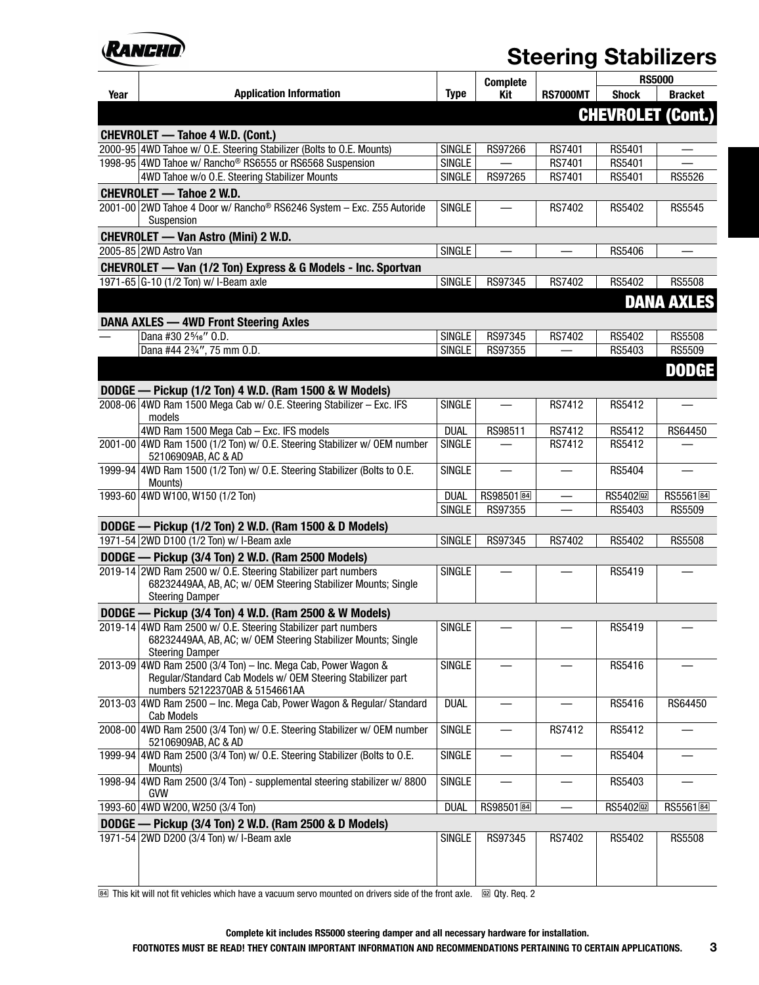

|      |                                                                                                    |                              | <b>Complete</b>                 |                 | <b>RS5000</b>                    |                                |
|------|----------------------------------------------------------------------------------------------------|------------------------------|---------------------------------|-----------------|----------------------------------|--------------------------------|
| Year | <b>Application Information</b>                                                                     | <b>Type</b>                  | Kit                             | <b>RS7000MT</b> | <b>Shock</b>                     | <b>Bracket</b>                 |
|      |                                                                                                    |                              |                                 |                 | <b>CHEVROLET (Cont.)</b>         |                                |
|      | <b>CHEVROLET — Tahoe 4 W.D. (Cont.)</b>                                                            |                              |                                 |                 |                                  |                                |
|      | 2000-95 4WD Tahoe w/ O.E. Steering Stabilizer (Bolts to O.E. Mounts)                               | <b>SINGLE</b>                | RS97266                         | RS7401          | RS5401                           |                                |
|      | 1998-95 4WD Tahoe w/ Rancho <sup>®</sup> RS6555 or RS6568 Suspension                               | <b>SINGLE</b>                |                                 | RS7401          | RS5401                           |                                |
|      | 4WD Tahoe w/o O.E. Steering Stabilizer Mounts                                                      | SINGLE                       | RS97265                         | RS7401          | RS5401                           | <b>RS5526</b>                  |
|      | <b>CHEVROLET - Tahoe 2 W.D.</b>                                                                    |                              |                                 |                 |                                  |                                |
|      | 2001-00 2WD Tahoe 4 Door w/ Rancho <sup>®</sup> RS6246 System - Exc. Z55 Autoride<br>Suspension    | <b>SINGLE</b>                |                                 | RS7402          | RS5402                           | RS5545                         |
|      | <b>CHEVROLET - Van Astro (Mini) 2 W.D.</b>                                                         |                              |                                 |                 |                                  |                                |
|      | 2005-85 2WD Astro Van                                                                              | <b>SINGLE</b>                | $\overline{\phantom{0}}$        |                 | RS5406                           |                                |
|      | CHEVROLET - Van (1/2 Ton) Express & G Models - Inc. Sportvan                                       |                              |                                 |                 |                                  |                                |
|      | 1971-65 G-10 (1/2 Ton) w/ I-Beam axle                                                              | <b>SINGLE</b>                | RS97345                         | RS7402          | RS5402                           | <b>RS5508</b>                  |
|      |                                                                                                    |                              |                                 |                 |                                  | <b>DANA AXLES</b>              |
|      | <b>DANA AXLES - 4WD Front Steering Axles</b>                                                       |                              |                                 |                 |                                  |                                |
|      | Dana #30 2%6" O.D.                                                                                 | <b>SINGLE</b>                | RS97345                         | RS7402          | RS5402                           | <b>RS5508</b>                  |
|      | Dana #44 23/4", 75 mm 0.D.                                                                         | <b>SINGLE</b>                | RS97355                         |                 | RS5403                           | RS5509                         |
|      |                                                                                                    |                              |                                 |                 |                                  | <b>DODGE</b>                   |
|      | DODGE — Pickup (1/2 Ton) 4 W.D. (Ram 1500 & W Models)                                              |                              |                                 |                 |                                  |                                |
|      | 2008-06 4WD Ram 1500 Mega Cab w/ O.E. Steering Stabilizer - Exc. IFS                               | <b>SINGLE</b>                |                                 | <b>RS7412</b>   | RS5412                           |                                |
|      | models                                                                                             |                              |                                 |                 |                                  |                                |
|      | 4WD Ram 1500 Mega Cab - Exc. IFS models                                                            | <b>DUAL</b>                  | RS98511                         | RS7412          | RS5412                           | RS64450                        |
|      | 2001-00 4WD Ram 1500 (1/2 Ton) w/ O.E. Steering Stabilizer w/ OEM number<br>52106909AB, AC & AD    | <b>SINGLE</b>                |                                 | RS7412          | RS5412                           |                                |
|      | 1999-94 4WD Ram 1500 (1/2 Ton) w/ O.E. Steering Stabilizer (Bolts to O.E.                          | <b>SINGLE</b>                | $\qquad \qquad$                 |                 | RS5404                           |                                |
|      | Mounts)                                                                                            |                              |                                 |                 |                                  |                                |
|      | 1993-60 4WD W100, W150 (1/2 Ton)                                                                   | <b>DUAL</b><br><b>SINGLE</b> | RS98501 <sup>图</sup><br>RS97355 |                 | RS5402 <sub>[12]</sub><br>RS5403 | RS5561 <sup>84</sup><br>RS5509 |
|      |                                                                                                    |                              |                                 |                 |                                  |                                |
|      | DODGE — Pickup (1/2 Ton) 2 W.D. (Ram 1500 & D Models)<br>1971-54 2WD D100 (1/2 Ton) w/ I-Beam axle | <b>SINGLE</b>                | RS97345                         | <b>RS7402</b>   | RS5402                           | <b>RS5508</b>                  |
|      | DODGE - Pickup (3/4 Ton) 2 W.D. (Ram 2500 Models)                                                  |                              |                                 |                 |                                  |                                |
|      | 2019-14 2WD Ram 2500 w/ O.E. Steering Stabilizer part numbers                                      | <b>SINGLE</b>                |                                 |                 | RS5419                           |                                |
|      | 68232449AA, AB, AC; w/ OEM Steering Stabilizer Mounts; Single                                      |                              |                                 |                 |                                  |                                |
|      | <b>Steering Damper</b>                                                                             |                              |                                 |                 |                                  |                                |
|      | DODGE - Pickup (3/4 Ton) 4 W.D. (Ram 2500 & W Models)                                              |                              |                                 |                 |                                  |                                |
|      | 2019-14 4WD Ram 2500 w/ O.E. Steering Stabilizer part numbers                                      | <b>SINGLE</b>                |                                 |                 | RS5419                           |                                |
|      | 68232449AA, AB, AC; w/ OEM Steering Stabilizer Mounts; Single                                      |                              |                                 |                 |                                  |                                |
|      | <b>Steering Damper</b><br>2013-09 4WD Ram 2500 (3/4 Ton) - Inc. Mega Cab, Power Wagon &            | <b>SINGLE</b>                |                                 |                 | RS5416                           |                                |
|      | Regular/Standard Cab Models w/ OEM Steering Stabilizer part                                        |                              |                                 |                 |                                  |                                |
|      | numbers 52122370AB & 5154661AA                                                                     |                              |                                 |                 |                                  |                                |
|      | 2013-03 4WD Ram 2500 - Inc. Mega Cab, Power Wagon & Regular/ Standard                              | <b>DUAL</b>                  |                                 |                 | RS5416                           | RS64450                        |
|      | <b>Cab Models</b><br>2008-00 4WD Ram 2500 (3/4 Ton) w/ O.E. Steering Stabilizer w/ OEM number      | <b>SINGLE</b>                | —                               | RS7412          | RS5412                           |                                |
|      | 52106909AB, AC & AD                                                                                |                              |                                 |                 |                                  |                                |
|      | 1999-94 4WD Ram 2500 (3/4 Ton) w/ O.E. Steering Stabilizer (Bolts to O.E.<br>Mounts)               | <b>SINGLE</b>                |                                 |                 | RS5404                           |                                |
|      | 1998-94 4WD Ram 2500 (3/4 Ton) - supplemental steering stabilizer w/ 8800                          | <b>SINGLE</b>                |                                 |                 | RS5403                           |                                |
|      | <b>GVW</b>                                                                                         |                              |                                 |                 |                                  |                                |
|      | 1993-60 4WD W200, W250 (3/4 Ton)                                                                   | <b>DUAL</b>                  | RS98501 <sup>图</sup>            |                 | RS5402 <sub>[22]</sub>           | RS5561 <sup>84</sup>           |
|      | DODGE — Pickup (3/4 Ton) 2 W.D. (Ram 2500 & D Models)                                              |                              |                                 |                 |                                  |                                |
|      | 1971-54 2WD D200 (3/4 Ton) w/ I-Beam axle                                                          | <b>SINGLE</b>                | RS97345                         | RS7402          | RS5402                           | <b>RS5508</b>                  |
|      |                                                                                                    |                              |                                 |                 |                                  |                                |
|      |                                                                                                    |                              |                                 |                 |                                  |                                |

 $\overline{a}$  This kit will not fit vehicles which have a vacuum servo mounted on drivers side of the front axle.  $\quad \textcircled{\textup{u}}$  Qty. Req. 2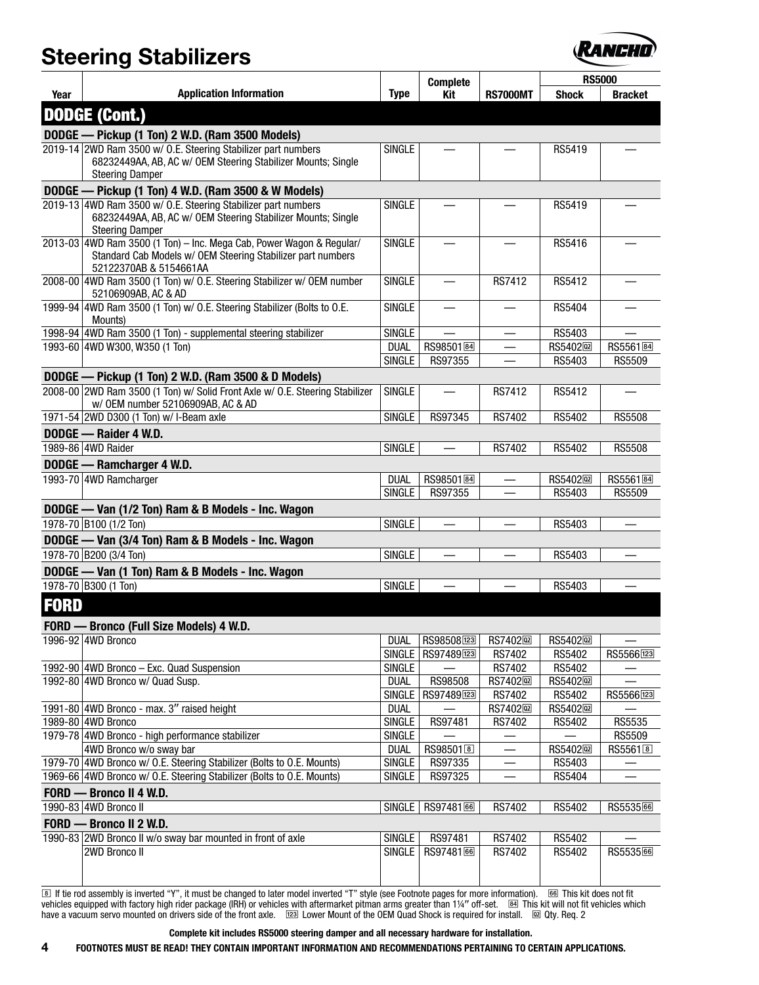

|             |                                                                                                                                                               |                              |                               |                          | <b>RS5000</b>          |                      |  |
|-------------|---------------------------------------------------------------------------------------------------------------------------------------------------------------|------------------------------|-------------------------------|--------------------------|------------------------|----------------------|--|
| Year        | <b>Application Information</b>                                                                                                                                | <b>Type</b>                  | <b>Complete</b><br><b>Kit</b> | <b>RS7000MT</b>          | <b>Shock</b>           | <b>Bracket</b>       |  |
|             | <b>DODGE (Cont.)</b>                                                                                                                                          |                              |                               |                          |                        |                      |  |
|             |                                                                                                                                                               |                              |                               |                          |                        |                      |  |
|             | DODGE — Pickup (1 Ton) 2 W.D. (Ram 3500 Models)                                                                                                               |                              |                               |                          |                        |                      |  |
|             | 2019-14 2WD Ram 3500 w/ O.E. Steering Stabilizer part numbers<br>68232449AA, AB, AC w/ OEM Steering Stabilizer Mounts; Single<br><b>Steering Damper</b>       | <b>SINGLE</b>                |                               |                          | RS5419                 |                      |  |
|             | DODGE - Pickup (1 Ton) 4 W.D. (Ram 3500 & W Models)                                                                                                           |                              |                               |                          |                        |                      |  |
|             | 2019-13 4WD Ram 3500 w/ O.E. Steering Stabilizer part numbers<br>68232449AA, AB, AC w/ OEM Steering Stabilizer Mounts; Single<br><b>Steering Damper</b>       | <b>SINGLE</b>                |                               |                          | RS5419                 |                      |  |
|             | 2013-03 4WD Ram 3500 (1 Ton) - Inc. Mega Cab, Power Wagon & Regular/<br>Standard Cab Models w/ OEM Steering Stabilizer part numbers<br>52122370AB & 5154661AA | <b>SINGLE</b>                |                               |                          | RS5416                 |                      |  |
|             | 2008-00 4WD Ram 3500 (1 Ton) w/ O.E. Steering Stabilizer w/ OEM number<br>52106909AB, AC & AD                                                                 | <b>SINGLE</b>                | $\qquad \qquad$               | <b>RS7412</b>            | RS5412                 |                      |  |
|             | 1999-94 4WD Ram 3500 (1 Ton) w/ O.E. Steering Stabilizer (Bolts to O.E.<br>Mounts)                                                                            | <b>SINGLE</b>                |                               |                          | RS5404                 |                      |  |
|             | 1998-94 4WD Ram 3500 (1 Ton) - supplemental steering stabilizer                                                                                               | <b>SINGLE</b>                |                               |                          | RS5403                 |                      |  |
|             | 1993-60 4WD W300, W350 (1 Ton)                                                                                                                                | <b>DUAL</b>                  | RS98501 <sup>[84]</sup>       |                          | RS5402 <sub>[22]</sub> | RS5561 <sup>84</sup> |  |
|             |                                                                                                                                                               | <b>SINGLE</b>                | RS97355                       |                          | RS5403                 | RS5509               |  |
|             | DODGE — Pickup (1 Ton) 2 W.D. (Ram 3500 & D Models)                                                                                                           |                              |                               |                          |                        |                      |  |
|             | 2008-00 2WD Ram 3500 (1 Ton) w/ Solid Front Axle w/ O.E. Steering Stabilizer<br>w/ OEM number 52106909AB, AC & AD                                             | SINGLE                       |                               | <b>RS7412</b>            | RS5412                 |                      |  |
|             | 1971-54 2WD D300 (1 Ton) w/ I-Beam axle                                                                                                                       | <b>SINGLE</b>                | RS97345                       | <b>RS7402</b>            | RS5402                 | <b>RS5508</b>        |  |
|             | DODGE - Raider 4 W.D.                                                                                                                                         |                              |                               |                          |                        |                      |  |
|             | 1989-86 4WD Raider                                                                                                                                            | <b>SINGLE</b>                |                               | RS7402                   | RS5402                 | <b>RS5508</b>        |  |
|             | DODGE - Ramcharger 4 W.D.                                                                                                                                     |                              |                               |                          |                        |                      |  |
|             | 1993-70 4WD Ramcharger                                                                                                                                        | <b>DUAL</b>                  | RS98501图                      |                          | RS5402 <sub>[22]</sub> | RS5561 <sup>84</sup> |  |
|             |                                                                                                                                                               | <b>SINGLE</b>                | RS97355                       | $\overline{\phantom{0}}$ | RS5403                 | <b>RS5509</b>        |  |
|             | DODGE - Van (1/2 Ton) Ram & B Models - Inc. Wagon                                                                                                             |                              |                               |                          |                        |                      |  |
|             | 1978-70 B100 (1/2 Ton)                                                                                                                                        | <b>SINGLE</b>                |                               |                          | RS5403                 |                      |  |
|             | DODGE - Van (3/4 Ton) Ram & B Models - Inc. Wagon                                                                                                             |                              |                               |                          |                        |                      |  |
|             | 1978-70 B200 (3/4 Ton)                                                                                                                                        | <b>SINGLE</b>                |                               |                          | RS5403                 |                      |  |
|             | DODGE - Van (1 Ton) Ram & B Models - Inc. Wagon                                                                                                               |                              |                               |                          |                        |                      |  |
|             | 1978-70 B300 (1 Ton)                                                                                                                                          | <b>SINGLE</b>                |                               |                          | RS5403                 |                      |  |
| <b>FORD</b> |                                                                                                                                                               |                              |                               |                          |                        |                      |  |
|             | FORD - Bronco (Full Size Models) 4 W.D.                                                                                                                       |                              |                               |                          |                        |                      |  |
|             | 1996-92 4WD Bronco                                                                                                                                            | <b>DUAL</b>                  | RS98508123                    | RS7402 <sub>[22]</sub>   | RS5402 <sub>[12]</sub> |                      |  |
|             |                                                                                                                                                               | <b>SINGLE</b>                | RS97489123                    | RS7402                   | RS5402                 | RS5566123            |  |
|             | 1992-90 4WD Bronco - Exc. Quad Suspension                                                                                                                     | <b>SINGLE</b>                |                               | RS7402                   | RS5402                 |                      |  |
|             | 1992-80 4WD Bronco w/ Quad Susp.                                                                                                                              | <b>DUAL</b>                  | RS98508                       | RS7402 <sup>[22]</sup>   | RS5402 <sup>[22]</sup> |                      |  |
|             |                                                                                                                                                               | <b>SINGLE</b>                | RS97489[123]                  | RS7402                   | RS5402                 | RS5566123            |  |
|             | 1991-80 4WD Bronco - max. 3" raised height                                                                                                                    | <b>DUAL</b><br><b>SINGLE</b> |                               | RS7402 <sup>[12]</sup>   | RS5402 <sup>[22]</sup> |                      |  |
|             | 1989-80 4WD Bronco<br>1979-78 4WD Bronco - high performance stabilizer                                                                                        | <b>SINGLE</b>                | RS97481                       | RS7402                   | RS5402                 | RS5535<br>RS5509     |  |
|             | 4WD Bronco w/o sway bar                                                                                                                                       | <b>DUAL</b>                  | RS98501 <sup>[8]</sup>        |                          | RS5402 <sup>[22]</sup> | RS5561 <sup>8</sup>  |  |
|             | 1979-70 4WD Bronco w/ O.E. Steering Stabilizer (Bolts to O.E. Mounts)                                                                                         | <b>SINGLE</b>                | RS97335                       |                          | RS5403                 |                      |  |
|             | 1969-66 4WD Bronco w/ O.E. Steering Stabilizer (Bolts to O.E. Mounts)                                                                                         | <b>SINGLE</b>                | RS97325                       |                          | RS5404                 |                      |  |
|             | FORD - Bronco II 4 W.D.                                                                                                                                       |                              |                               |                          |                        |                      |  |
|             | 1990-83 4WD Bronco II                                                                                                                                         | SINGLE                       | RS9748166                     | <b>RS7402</b>            | RS5402                 | RS553566             |  |
|             | FORD - Bronco II 2 W.D.                                                                                                                                       |                              |                               |                          |                        |                      |  |
|             | 1990-83 2WD Bronco II w/o sway bar mounted in front of axle                                                                                                   | <b>SINGLE</b>                | RS97481                       | RS7402                   | RS5402                 |                      |  |
|             | 2WD Bronco II                                                                                                                                                 | SINGLE                       | RS9748166                     | RS7402                   | RS5402                 | RS553566             |  |
|             |                                                                                                                                                               |                              |                               |                          |                        |                      |  |

® If tie rod assembly is inverted "Y", it must be changed to later model inverted "T" style (see Footnote pages for more information). ® This kit does not fit<br>vehicles equipped with factory high rider package (IRH) or have a vacuum servo mounted on drivers side of the front axle.  $\,$  [223] Lower Mount of the OEM Quad Shock is required for install.  $\,$  [20] Qty. Req. 2  $\,$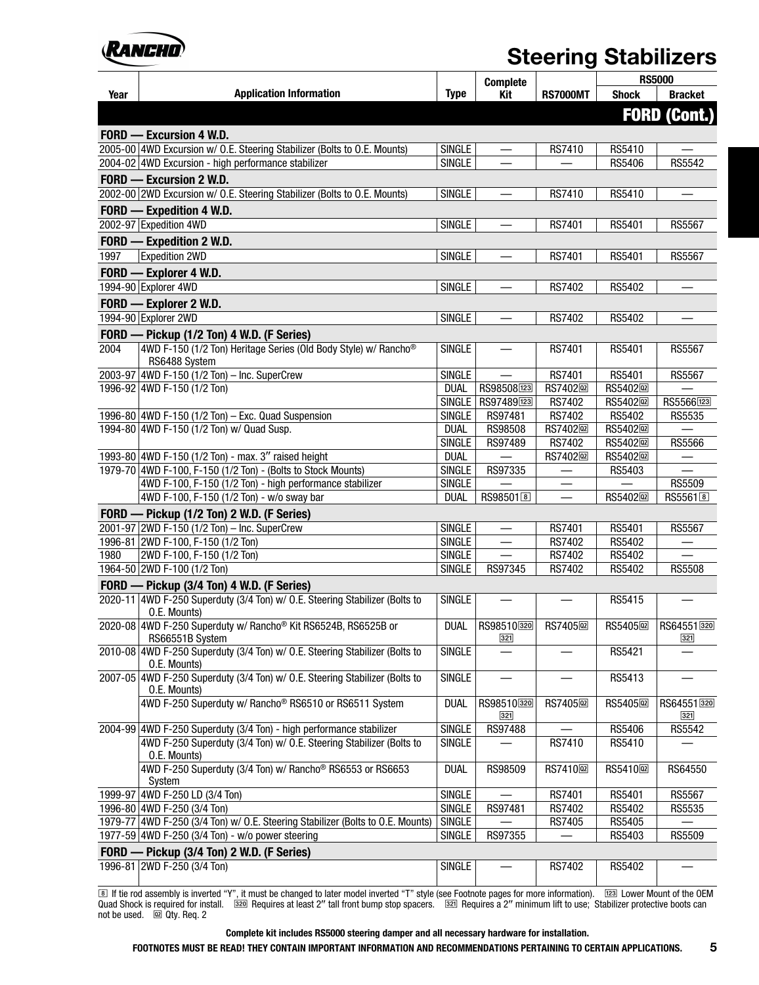

|      |                                                                                               |               | <b>Complete</b>        |                         |                        | <b>RS5000</b>       |
|------|-----------------------------------------------------------------------------------------------|---------------|------------------------|-------------------------|------------------------|---------------------|
| Year | <b>Application Information</b>                                                                | <b>Type</b>   | Kit                    | <b>RS7000MT</b>         | <b>Shock</b>           | <b>Bracket</b>      |
|      |                                                                                               |               |                        |                         |                        | <b>FORD (Cont.)</b> |
|      | FORD - Excursion 4 W.D.                                                                       |               |                        |                         |                        |                     |
|      | 2005-00 4WD Excursion w/ O.E. Steering Stabilizer (Bolts to O.E. Mounts)                      | <b>SINGLE</b> |                        | RS7410                  | RS5410                 |                     |
|      | 2004-02 4WD Excursion - high performance stabilizer                                           | <b>SINGLE</b> |                        |                         | RS5406                 | RS5542              |
|      | FORD - Excursion 2 W.D.                                                                       |               |                        |                         |                        |                     |
|      | 2002-00 2WD Excursion w/ O.E. Steering Stabilizer (Bolts to O.E. Mounts)                      | <b>SINGLE</b> |                        | RS7410                  | RS5410                 |                     |
|      | FORD - Expedition 4 W.D.                                                                      |               |                        |                         |                        |                     |
|      | 2002-97 Expedition 4WD                                                                        |               |                        |                         |                        |                     |
|      |                                                                                               | <b>SINGLE</b> |                        | RS7401                  | RS5401                 | <b>RS5567</b>       |
|      | FORD - Expedition 2 W.D.                                                                      |               |                        |                         |                        |                     |
| 1997 | <b>Expedition 2WD</b>                                                                         | <b>SINGLE</b> |                        | RS7401                  | RS5401                 | <b>RS5567</b>       |
|      | FORD - Explorer 4 W.D.                                                                        |               |                        |                         |                        |                     |
|      | 1994-90 Explorer 4WD                                                                          | SINGLE        |                        | RS7402                  | RS5402                 |                     |
|      | FORD - Explorer 2 W.D.                                                                        |               |                        |                         |                        |                     |
|      | 1994-90 Explorer 2WD                                                                          | <b>SINGLE</b> |                        | RS7402                  | RS5402                 |                     |
|      | FORD - Pickup (1/2 Ton) 4 W.D. (F Series)                                                     |               |                        |                         |                        |                     |
| 2004 | 4WD F-150 (1/2 Ton) Heritage Series (Old Body Style) w/ Rancho <sup>®</sup><br>RS6488 System  | <b>SINGLE</b> |                        | RS7401                  | RS5401                 | <b>RS5567</b>       |
|      | 2003-97 4WD F-150 (1/2 Ton) - Inc. SuperCrew                                                  | <b>SINGLE</b> |                        | RS7401                  | RS5401                 | <b>RS5567</b>       |
|      | 1996-92 4WD F-150 (1/2 Ton)                                                                   | <b>DUAL</b>   | RS98508[123]           | RS7402 <sub>[22]</sub>  | RS5402 <sub>[22]</sub> |                     |
|      |                                                                                               | <b>SINGLE</b> | RS97489123             | RS7402                  | RS5402 <sub>[12]</sub> | RS5566[123]         |
|      | 1996-80 4WD F-150 (1/2 Ton) - Exc. Quad Suspension                                            | <b>SINGLE</b> | RS97481                | RS7402                  | RS5402                 | RS5535              |
|      | 1994-80 4WD F-150 (1/2 Ton) w/ Quad Susp.                                                     | <b>DUAL</b>   | RS98508                | RS7402 <sub>[22]</sub>  | RS5402 <sub>[22]</sub> |                     |
|      |                                                                                               | <b>SINGLE</b> | RS97489                | RS7402                  | RS5402 <sup>[12]</sup> | <b>RS5566</b>       |
|      | 1993-80 4WD F-150 (1/2 Ton) - max. 3" raised height                                           | <b>DUAL</b>   |                        | RS7402 <sub>[22]</sub>  | RS5402 <sub>[22]</sub> |                     |
|      | 1979-70 4WD F-100, F-150 (1/2 Ton) - (Bolts to Stock Mounts)                                  | <b>SINGLE</b> | RS97335                |                         | RS5403                 |                     |
|      | 4WD F-100, F-150 (1/2 Ton) - high performance stabilizer                                      | <b>SINGLE</b> |                        | —                       |                        | RS5509              |
|      | 4WD F-100, F-150 (1/2 Ton) - w/o sway bar                                                     | <b>DUAL</b>   | RS98501 <sup>[8]</sup> |                         | RS5402 <sub>[12]</sub> | RS5561 <sup>8</sup> |
|      | FORD - Pickup (1/2 Ton) 2 W.D. (F Series)                                                     |               |                        |                         |                        |                     |
|      | 2001-97 2WD F-150 (1/2 Ton) - Inc. SuperCrew                                                  | <b>SINGLE</b> | —                      | RS7401                  | RS5401                 | <b>RS5567</b>       |
|      | 1996-81 2WD F-100, F-150 (1/2 Ton)                                                            | <b>SINGLE</b> | —<br>——                | RS7402                  | RS5402                 |                     |
| 1980 | 2WD F-100, F-150 (1/2 Ton)                                                                    | <b>SINGLE</b> |                        | RS7402                  | RS5402                 |                     |
|      | 1964-50 2WD F-100 (1/2 Ton)                                                                   | <b>SINGLE</b> | RS97345                | <b>RS7402</b>           | RS5402                 | <b>RS5508</b>       |
|      | FORD - Pickup (3/4 Ton) 4 W.D. (F Series)                                                     |               |                        |                         |                        |                     |
|      | 2020-11 4WD F-250 Superduty (3/4 Ton) w/ O.E. Steering Stabilizer (Bolts to                   | <b>SINGLE</b> |                        |                         | RS5415                 |                     |
|      | O.E. Mounts)                                                                                  |               |                        |                         |                        |                     |
|      | 2020-08 4WD F-250 Superduty w/ Rancho <sup>®</sup> Kit RS6524B, RS6525B or<br>RS66551B System | <b>DUAL</b>   | RS98510320<br>321      | RS7405 <sub>[123]</sub> | RS5405 <sub>[12]</sub> | RS64551320<br>321   |
|      | 2010-08 4WD F-250 Superduty (3/4 Ton) w/ O.E. Steering Stabilizer (Bolts to<br>O.E. Mounts)   | <b>SINGLE</b> |                        |                         | RS5421                 |                     |
|      | 2007-05 4WD F-250 Superduty (3/4 Ton) w/ O.E. Steering Stabilizer (Bolts to<br>O.E. Mounts)   | <b>SINGLE</b> |                        |                         | RS5413                 |                     |
|      | 4WD F-250 Superduty w/ Rancho® RS6510 or RS6511 System                                        | <b>DUAL</b>   | RS98510320<br>321      | RS7405 <sub>[22</sub> ] | RS5405 <sub>[12]</sub> | RS64551 320<br>321  |
|      | 2004-99 4WD F-250 Superduty (3/4 Ton) - high performance stabilizer                           | <b>SINGLE</b> | RS97488                |                         | RS5406                 | RS5542              |
|      | 4WD F-250 Superduty (3/4 Ton) w/ O.E. Steering Stabilizer (Bolts to<br>0.E. Mounts)           | <b>SINGLE</b> |                        | RS7410                  | RS5410                 |                     |
|      | 4WD F-250 Superduty (3/4 Ton) w/ Rancho® RS6553 or RS6653<br>System                           | <b>DUAL</b>   | RS98509                | RS7410 <sup>2</sup>     | RS5410 <sup>2</sup>    | RS64550             |
|      | 1999-97 4WD F-250 LD (3/4 Ton)                                                                | <b>SINGLE</b> |                        | RS7401                  | RS5401                 | RS5567              |
|      | 1996-80 4WD F-250 (3/4 Ton)                                                                   | <b>SINGLE</b> | RS97481                | RS7402                  | RS5402                 | RS5535              |
|      | 1979-77 4WD F-250 (3/4 Ton) w/ O.E. Steering Stabilizer (Bolts to O.E. Mounts)                | SINGLE        |                        | RS7405                  | RS5405                 |                     |
|      | 1977-59 4WD F-250 (3/4 Ton) - w/o power steering                                              | <b>SINGLE</b> | RS97355                |                         | RS5403                 | <b>RS5509</b>       |
|      | FORD - Pickup (3/4 Ton) 2 W.D. (F Series)                                                     |               |                        |                         |                        |                     |
|      | 1996-81 2WD F-250 (3/4 Ton)                                                                   | <b>SINGLE</b> |                        | RS7402                  | RS5402                 |                     |
|      |                                                                                               |               |                        |                         |                        |                     |

® If tie rod assembly is inverted "Y", it must be changed to later model inverted "T" style (see Footnote pages for more information). ा<u>¤</u>® Lower Mount of the OEM<br>Quad Shock is required for install. ।⊠? Requires at not be used. @ Qty. Req. 2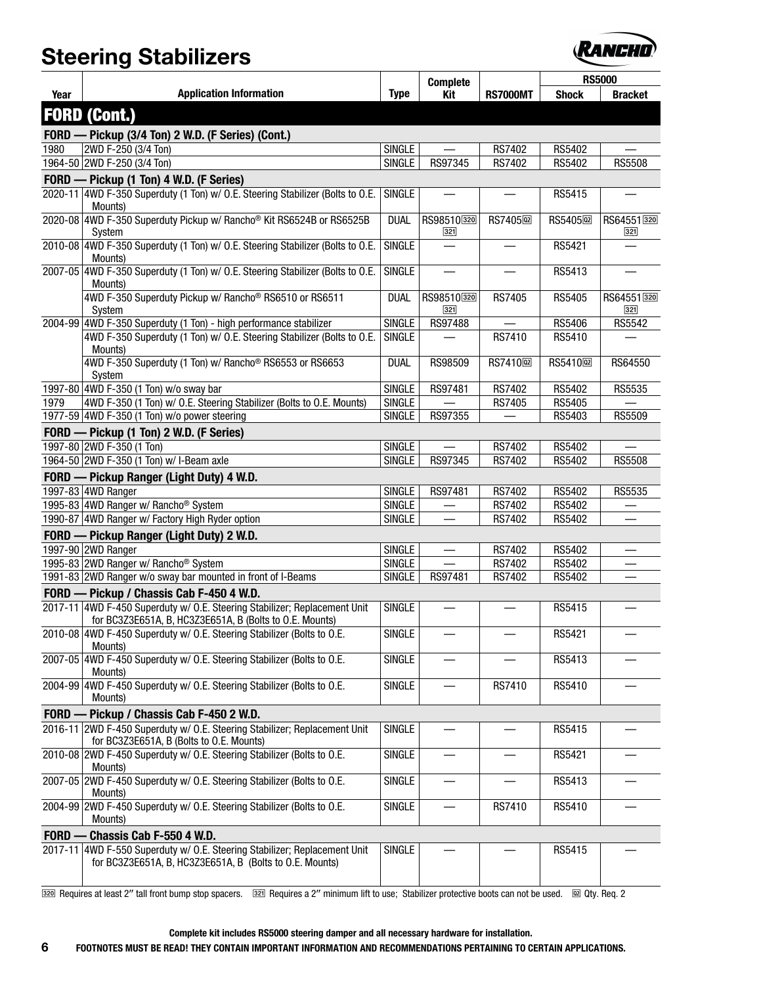

|      |                                                                                                                                      |               | <b>Complete</b>          |                         |                         | <b>RS5000</b>        |
|------|--------------------------------------------------------------------------------------------------------------------------------------|---------------|--------------------------|-------------------------|-------------------------|----------------------|
| Year | <b>Application Information</b>                                                                                                       | <b>Type</b>   | Kit                      | <b>RS7000MT</b>         | <b>Shock</b>            | <b>Bracket</b>       |
|      | <b>FORD (Cont.)</b>                                                                                                                  |               |                          |                         |                         |                      |
|      | FORD - Pickup (3/4 Ton) 2 W.D. (F Series) (Cont.)                                                                                    |               |                          |                         |                         |                      |
| 1980 | 2WD F-250 (3/4 Ton)                                                                                                                  | <b>SINGLE</b> |                          | RS7402                  | RS5402                  |                      |
|      | 1964-50 2WD F-250 (3/4 Ton)                                                                                                          | <b>SINGLE</b> | RS97345                  | RS7402                  | <b>RS5402</b>           | <b>RS5508</b>        |
|      | FORD - Pickup (1 Ton) 4 W.D. (F Series)                                                                                              |               |                          |                         |                         |                      |
|      | 2020-11 4WD F-350 Superduty (1 Ton) w/ O.E. Steering Stabilizer (Bolts to O.E.<br>Mounts)                                            | <b>SINGLE</b> |                          |                         | RS5415                  |                      |
|      | 2020-08 4WD F-350 Superduty Pickup w/ Rancho® Kit RS6524B or RS6525B<br>System                                                       | <b>DUAL</b>   | RS98510320<br>321        | RS7405 <sub>[22</sub> ] | RS5405 <sub>[22</sub> ] | RS64551320<br>321    |
|      | 2010-08 4WD F-350 Superduty (1 Ton) w/ O.E. Steering Stabilizer (Bolts to O.E.<br>Mounts)                                            | <b>SINGLE</b> |                          |                         | RS5421                  |                      |
|      | 2007-05 4WD F-350 Superduty (1 Ton) w/ O.E. Steering Stabilizer (Bolts to O.E.<br>Mounts)                                            | <b>SINGLE</b> |                          |                         | RS5413                  |                      |
|      | 4WD F-350 Superduty Pickup w/ Rancho® RS6510 or RS6511<br>System                                                                     | <b>DUAL</b>   | RS98510320<br>321        | <b>RS7405</b>           | <b>RS5405</b>           | RS64551 320<br>$321$ |
|      | 2004-99 4WD F-350 Superduty (1 Ton) - high performance stabilizer                                                                    | <b>SINGLE</b> | RS97488                  |                         | RS5406                  | RS5542               |
|      | 4WD F-350 Superduty (1 Ton) w/ O.E. Steering Stabilizer (Bolts to O.E.<br>Mounts)                                                    | <b>SINGLE</b> |                          | RS7410                  | RS5410                  |                      |
|      | 4WD F-350 Superduty (1 Ton) w/ Rancho® RS6553 or RS6653<br>System                                                                    | <b>DUAL</b>   | RS98509                  | RS7410 <sub>[22]</sub>  | RS5410 <sub>[22]</sub>  | RS64550              |
|      | 1997-80 4WD F-350 (1 Ton) w/o sway bar                                                                                               | <b>SINGLE</b> | RS97481                  | RS7402                  | RS5402                  | RS5535               |
| 1979 | 4WD F-350 (1 Ton) w/ O.E. Steering Stabilizer (Bolts to O.E. Mounts)                                                                 | <b>SINGLE</b> |                          | RS7405                  | RS5405                  |                      |
|      | 1977-59 4WD F-350 (1 Ton) w/o power steering                                                                                         | <b>SINGLE</b> | RS97355                  |                         | RS5403                  | <b>RS5509</b>        |
|      | FORD - Pickup (1 Ton) 2 W.D. (F Series)                                                                                              |               |                          |                         |                         |                      |
|      | 1997-80 2WD F-350 (1 Ton)                                                                                                            | <b>SINGLE</b> |                          | RS7402                  | RS5402                  |                      |
|      | 1964-50 2WD F-350 (1 Ton) w/ I-Beam axle                                                                                             | <b>SINGLE</b> | RS97345                  | RS7402                  | RS5402                  | <b>RS5508</b>        |
|      | FORD - Pickup Ranger (Light Duty) 4 W.D.                                                                                             |               |                          |                         |                         |                      |
|      | 1997-83 4WD Ranger                                                                                                                   | <b>SINGLE</b> | RS97481                  | RS7402                  | RS5402                  | RS5535               |
|      | 1995-83 4WD Ranger w/ Rancho <sup>®</sup> System                                                                                     | <b>SINGLE</b> |                          | RS7402                  | RS5402                  |                      |
|      | 1990-87 4WD Ranger w/ Factory High Ryder option                                                                                      | <b>SINGLE</b> | $\overline{\phantom{0}}$ | RS7402                  | RS5402                  |                      |
|      | FORD - Pickup Ranger (Light Duty) 2 W.D.                                                                                             |               |                          |                         |                         |                      |
|      | 1997-90 2WD Ranger                                                                                                                   | <b>SINGLE</b> |                          | RS7402                  | RS5402                  |                      |
|      | 1995-83 2WD Ranger w/ Rancho <sup>®</sup> System                                                                                     | <b>SINGLE</b> |                          | RS7402                  | RS5402                  |                      |
|      | 1991-83 2WD Ranger w/o sway bar mounted in front of I-Beams                                                                          | <b>SINGLE</b> | RS97481                  | RS7402                  | RS5402                  |                      |
|      | FORD - Pickup / Chassis Cab F-450 4 W.D.                                                                                             |               |                          |                         |                         |                      |
|      | 2017-11 4WD F-450 Superduty w/ O.E. Steering Stabilizer; Replacement Unit<br>for BC3Z3E651A, B, HC3Z3E651A, B (Bolts to O.E. Mounts) | <b>SINGLE</b> |                          |                         | RS5415                  |                      |
|      | 2010-08 4WD F-450 Superduty w/ O.E. Steering Stabilizer (Bolts to O.E.<br>Mounts)                                                    | <b>SINGLE</b> |                          |                         | RS5421                  |                      |
|      | 2007-05 4WD F-450 Superduty w/ O.E. Steering Stabilizer (Bolts to O.E.<br>Mounts)                                                    | <b>SINGLE</b> |                          |                         | RS5413                  |                      |
|      | 2004-99 4WD F-450 Superduty w/ O.E. Steering Stabilizer (Bolts to O.E.<br>Mounts)                                                    | <b>SINGLE</b> |                          | RS7410                  | RS5410                  |                      |
|      | FORD - Pickup / Chassis Cab F-450 2 W.D.                                                                                             |               |                          |                         |                         |                      |
|      | 2016-11 2WD F-450 Superduty w/ O.E. Steering Stabilizer; Replacement Unit<br>for BC3Z3E651A, B (Bolts to O.E. Mounts)                | <b>SINGLE</b> |                          |                         | RS5415                  |                      |
|      | 2010-08 2WD F-450 Superduty w/ O.E. Steering Stabilizer (Bolts to O.E.<br>Mounts)                                                    | <b>SINGLE</b> |                          |                         | RS5421                  |                      |
|      | 2007-05 2WD F-450 Superduty w/ O.E. Steering Stabilizer (Bolts to O.E.<br>Mounts)                                                    | <b>SINGLE</b> |                          |                         | RS5413                  |                      |
|      | 2004-99 2WD F-450 Superduty w/ O.E. Steering Stabilizer (Bolts to O.E.<br>Mounts)                                                    | <b>SINGLE</b> | $\qquad \qquad$          | RS7410                  | RS5410                  |                      |
|      | FORD - Chassis Cab F-550 4 W.D.                                                                                                      |               |                          |                         |                         |                      |
|      | 2017-11 4WD F-550 Superduty w/ O.E. Steering Stabilizer; Replacement Unit<br>for BC3Z3E651A, B, HC3Z3E651A, B (Bolts to O.E. Mounts) | <b>SINGLE</b> |                          |                         | RS5415                  |                      |
|      |                                                                                                                                      |               |                          |                         |                         |                      |

[320] Requires at least 2" tall front bump stop spacers. [32] Requires a 2" minimum lift to use; Stabilizer protective boots can not be used. [22] Qty. Req. 2

#### **Complete kit includes RS5000 steering damper and all necessary hardware for installation.**

**6 FOOTNOTES MUST BE READ! THEY CONTAIN IMPORTANT INFORMATION AND RECOMMENDATIONS PERTAINING TO CERTAIN APPLICATIONS.**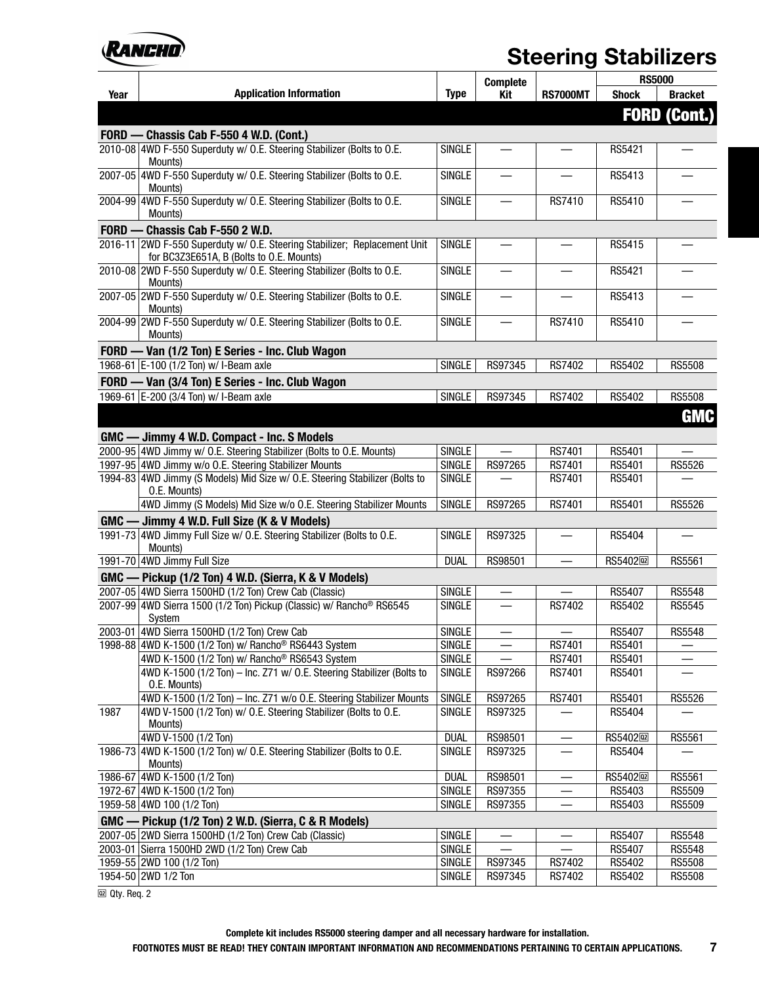

|      |                                                                                                                       |               | <b>Complete</b> |                 | <b>RS5000</b>          |                     |
|------|-----------------------------------------------------------------------------------------------------------------------|---------------|-----------------|-----------------|------------------------|---------------------|
| Year | <b>Application Information</b>                                                                                        | <b>Type</b>   | <b>Kit</b>      | <b>RS7000MT</b> | <b>Shock</b>           | <b>Bracket</b>      |
|      |                                                                                                                       |               |                 |                 |                        | <b>FORD (Cont.)</b> |
|      | FORD - Chassis Cab F-550 4 W.D. (Cont.)                                                                               |               |                 |                 |                        |                     |
|      | 2010-08 4WD F-550 Superduty w/ O.E. Steering Stabilizer (Bolts to O.E.<br>Mounts)                                     | <b>SINGLE</b> |                 |                 | RS5421                 |                     |
|      | 2007-05 4WD F-550 Superduty w/ O.E. Steering Stabilizer (Bolts to O.E.<br>Mounts)                                     | <b>SINGLE</b> |                 |                 | RS5413                 |                     |
|      | 2004-99 4WD F-550 Superduty w/ O.E. Steering Stabilizer (Bolts to O.E.<br>Mounts)                                     | <b>SINGLE</b> |                 | <b>RS7410</b>   | RS5410                 |                     |
|      | FORD - Chassis Cab F-550 2 W.D.                                                                                       |               |                 |                 |                        |                     |
|      | 2016-11 2WD F-550 Superduty w/ O.E. Steering Stabilizer; Replacement Unit<br>for BC3Z3E651A, B (Bolts to O.E. Mounts) | <b>SINGLE</b> |                 |                 | RS5415                 |                     |
|      | 2010-08 2WD F-550 Superduty w/ O.E. Steering Stabilizer (Bolts to O.E.<br>Mounts)                                     | <b>SINGLE</b> |                 |                 | RS5421                 |                     |
|      | 2007-05 2WD F-550 Superduty w/ O.E. Steering Stabilizer (Bolts to O.E.<br>Mounts)                                     | <b>SINGLE</b> |                 |                 | RS5413                 |                     |
|      | 2004-99 2WD F-550 Superduty w/ O.E. Steering Stabilizer (Bolts to O.E.<br>Mounts)                                     | <b>SINGLE</b> |                 | RS7410          | RS5410                 |                     |
|      | FORD - Van (1/2 Ton) E Series - Inc. Club Wagon                                                                       |               |                 |                 |                        |                     |
|      | 1968-61 E-100 (1/2 Ton) w/ I-Beam axle                                                                                | <b>SINGLE</b> | RS97345         | RS7402          | RS5402                 | <b>RS5508</b>       |
|      | FORD - Van (3/4 Ton) E Series - Inc. Club Wagon                                                                       |               |                 |                 |                        |                     |
|      | 1969-61 E-200 (3/4 Ton) w/ I-Beam axle                                                                                | <b>SINGLE</b> | RS97345         | RS7402          | RS5402                 | <b>RS5508</b>       |
|      |                                                                                                                       |               |                 |                 |                        |                     |
|      |                                                                                                                       |               |                 |                 |                        | <b>GMC</b>          |
|      | GMC - Jimmy 4 W.D. Compact - Inc. S Models                                                                            |               |                 |                 |                        |                     |
|      | 2000-95 4WD Jimmy w/ O.E. Steering Stabilizer (Bolts to O.E. Mounts)                                                  | <b>SINGLE</b> |                 | RS7401          | RS5401                 |                     |
|      | 1997-95 4WD Jimmy w/o O.E. Steering Stabilizer Mounts                                                                 | <b>SINGLE</b> | RS97265         | RS7401          | RS5401                 | <b>RS5526</b>       |
|      | 1994-83 4WD Jimmy (S Models) Mid Size w/ O.E. Steering Stabilizer (Bolts to<br>O.E. Mounts)                           | <b>SINGLE</b> |                 | RS7401          | RS5401                 |                     |
|      | 4WD Jimmy (S Models) Mid Size w/o O.E. Steering Stabilizer Mounts                                                     | <b>SINGLE</b> | RS97265         | RS7401          | RS5401                 | <b>RS5526</b>       |
|      | GMC - Jimmy 4 W.D. Full Size (K & V Models)                                                                           |               |                 |                 |                        |                     |
|      | 1991-73 4WD Jimmy Full Size w/ O.E. Steering Stabilizer (Bolts to O.E.<br>Mounts)                                     | <b>SINGLE</b> | RS97325         |                 | RS5404                 |                     |
|      | 1991-70 4WD Jimmy Full Size                                                                                           | <b>DUAL</b>   | RS98501         |                 | RS5402 <sub>[12]</sub> | <b>RS5561</b>       |
|      | GMC - Pickup (1/2 Ton) 4 W.D. (Sierra, K & V Models)                                                                  |               |                 |                 |                        |                     |
|      | 2007-05 4WD Sierra 1500HD (1/2 Ton) Crew Cab (Classic)                                                                | <b>SINGLE</b> | $-$             |                 | RS5407                 | <b>RS5548</b>       |
|      | 2007-99 4WD Sierra 1500 (1/2 Ton) Pickup (Classic) w/ Rancho® RS6545<br>System                                        | <b>SINGLE</b> |                 | <b>RS7402</b>   | RS5402                 | RS5545              |
|      | 2003-01 4WD Sierra 1500HD (1/2 Ton) Crew Cab                                                                          | <b>SINGLE</b> |                 |                 | RS5407                 | <b>RS5548</b>       |
|      | 1998-88 4WD K-1500 (1/2 Ton) w/ Rancho <sup>®</sup> RS6443 System                                                     | <b>SINGLE</b> |                 | RS7401          | RS5401                 |                     |
|      | 4WD K-1500 (1/2 Ton) w/ Rancho <sup>®</sup> RS6543 System                                                             | <b>SINGLE</b> |                 | RS7401          | RS5401                 |                     |
|      | 4WD K-1500 (1/2 Ton) - Inc. Z71 w/ O.E. Steering Stabilizer (Bolts to<br>O.E. Mounts)                                 | <b>SINGLE</b> | RS97266         | RS7401          | RS5401                 |                     |
|      | 4WD K-1500 (1/2 Ton) - Inc. Z71 w/o O.E. Steering Stabilizer Mounts                                                   | <b>SINGLE</b> | RS97265         | RS7401          | RS5401                 | RS5526              |
| 1987 | 4WD V-1500 (1/2 Ton) w/ O.E. Steering Stabilizer (Bolts to O.E.<br>Mounts)                                            | <b>SINGLE</b> | RS97325         |                 | RS5404                 |                     |
|      | 4WD V-1500 (1/2 Ton)                                                                                                  | <b>DUAL</b>   | RS98501         |                 | RS5402 <sup>[12]</sup> | RS5561              |
|      | 1986-73 4WD K-1500 (1/2 Ton) w/ O.E. Steering Stabilizer (Bolts to O.E.<br>Mounts)                                    | <b>SINGLE</b> | RS97325         |                 | RS5404                 |                     |
|      | 1986-67 4WD K-1500 (1/2 Ton)                                                                                          | <b>DUAL</b>   | RS98501         |                 | RS5402 <sup>[22]</sup> | RS5561              |
|      | 1972-67 4WD K-1500 (1/2 Ton)                                                                                          | <b>SINGLE</b> | RS97355         |                 | RS5403                 | RS5509              |
|      | 1959-58 4WD 100 (1/2 Ton)                                                                                             | <b>SINGLE</b> | RS97355         |                 | RS5403                 | RS5509              |
|      | GMC — Pickup (1/2 Ton) 2 W.D. (Sierra, C & R Models)                                                                  |               |                 |                 |                        |                     |
|      | 2007-05 2WD Sierra 1500HD (1/2 Ton) Crew Cab (Classic)                                                                | <b>SINGLE</b> |                 |                 | RS5407                 | RS5548              |
|      | 2003-01 Sierra 1500HD 2WD (1/2 Ton) Crew Cab                                                                          | <b>SINGLE</b> |                 |                 | RS5407                 | RS5548              |
|      | 1959-55 2WD 100 (1/2 Ton)                                                                                             | <b>SINGLE</b> | RS97345         | RS7402          | RS5402                 | RS5508              |
|      | 1954-50 2WD 1/2 Ton                                                                                                   | SINGLE        | RS97345         | RS7402          | RS5402                 | <b>RS5508</b>       |
|      |                                                                                                                       |               |                 |                 |                        |                     |

 $@2$  Qty. Req. 2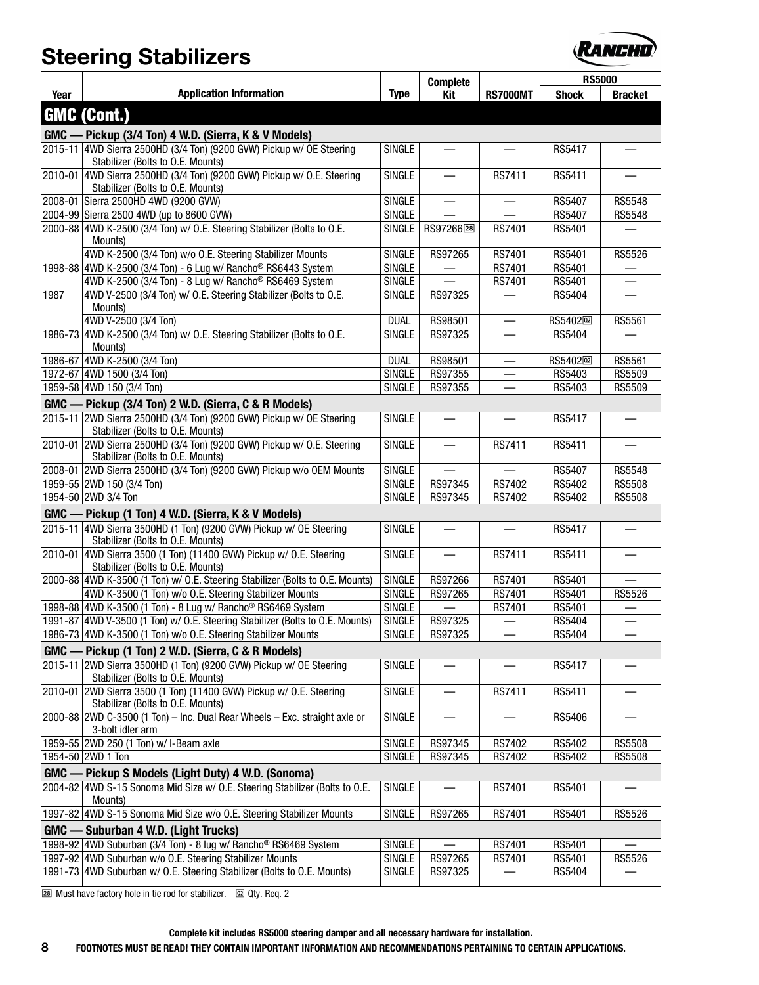

|      |                                                                                                             |               | <b>Complete</b>          |                 | <b>RS5000</b>           |                |
|------|-------------------------------------------------------------------------------------------------------------|---------------|--------------------------|-----------------|-------------------------|----------------|
| Year | <b>Application Information</b>                                                                              | <b>Type</b>   | Kit                      | <b>RS7000MT</b> | <b>Shock</b>            | <b>Bracket</b> |
|      | <b>GMC (Cont.)</b>                                                                                          |               |                          |                 |                         |                |
|      | GMC — Pickup (3/4 Ton) 4 W.D. (Sierra, K & V Models)                                                        |               |                          |                 |                         |                |
|      | 2015-11 4WD Sierra 2500HD (3/4 Ton) (9200 GVW) Pickup w/ OE Steering<br>Stabilizer (Bolts to O.E. Mounts)   | <b>SINGLE</b> |                          |                 | RS5417                  |                |
|      | 2010-01 4WD Sierra 2500HD (3/4 Ton) (9200 GVW) Pickup w/ O.E. Steering<br>Stabilizer (Bolts to O.E. Mounts) | <b>SINGLE</b> | $\overline{\phantom{0}}$ | RS7411          | RS5411                  |                |
|      | 2008-01 Sierra 2500HD 4WD (9200 GVW)                                                                        | <b>SINGLE</b> | $\overline{\phantom{0}}$ |                 | <b>RS5407</b>           | RS5548         |
|      | 2004-99 Sierra 2500 4WD (up to 8600 GVW)                                                                    | <b>SINGLE</b> |                          |                 | <b>RS5407</b>           | <b>RS5548</b>  |
|      | 2000-88 4WD K-2500 (3/4 Ton) w/ O.E. Steering Stabilizer (Bolts to O.E.<br>Mounts)                          | <b>SINGLE</b> | RS97266 <sup>28</sup>    | RS7401          | RS5401                  |                |
|      | 4WD K-2500 (3/4 Ton) w/o O.E. Steering Stabilizer Mounts                                                    | <b>SINGLE</b> | RS97265                  | RS7401          | RS5401                  | <b>RS5526</b>  |
|      | 1998-88 4WD K-2500 (3/4 Ton) - 6 Lug w/ Rancho <sup>®</sup> RS6443 System                                   | <b>SINGLE</b> |                          | RS7401          | RS5401                  |                |
|      | 4WD K-2500 (3/4 Ton) - 8 Lug w/ Rancho® RS6469 System                                                       | <b>SINGLE</b> |                          | <b>RS7401</b>   | RS5401                  |                |
| 1987 | 4WD V-2500 (3/4 Ton) w/ O.E. Steering Stabilizer (Bolts to O.E.<br>Mounts)                                  | <b>SINGLE</b> | RS97325                  |                 | RS5404                  |                |
|      | 4WD V-2500 (3/4 Ton)                                                                                        | <b>DUAL</b>   | RS98501                  |                 | RS5402 <sub>[123]</sub> | RS5561         |
|      | 1986-73 4WD K-2500 (3/4 Ton) w/ O.E. Steering Stabilizer (Bolts to O.E.<br>Mounts)                          | <b>SINGLE</b> | RS97325                  |                 | RS5404                  |                |
|      | 1986-67 4WD K-2500 (3/4 Ton)                                                                                | <b>DUAL</b>   | RS98501                  |                 | RS5402 <sub>[22]</sub>  | RS5561         |
|      | 1972-67 4WD 1500 (3/4 Ton)                                                                                  | <b>SINGLE</b> | RS97355                  |                 | RS5403                  | RS5509         |
|      | 1959-58 4WD 150 (3/4 Ton)                                                                                   | <b>SINGLE</b> | RS97355                  |                 | RS5403                  | RS5509         |
|      | GMC — Pickup (3/4 Ton) 2 W.D. (Sierra, C & R Models)                                                        |               |                          |                 |                         |                |
|      | 2015-11 2WD Sierra 2500HD (3/4 Ton) (9200 GVW) Pickup w/ OE Steering<br>Stabilizer (Bolts to O.E. Mounts)   | SINGLE        |                          |                 | RS5417                  |                |
|      | 2010-01 2WD Sierra 2500HD (3/4 Ton) (9200 GVW) Pickup w/ O.E. Steering<br>Stabilizer (Bolts to O.E. Mounts) | <b>SINGLE</b> | $\overline{\phantom{0}}$ | RS7411          | RS5411                  |                |
|      | 2008-01 2WD Sierra 2500HD (3/4 Ton) (9200 GVW) Pickup w/o 0EM Mounts                                        | <b>SINGLE</b> | $\overline{\phantom{0}}$ |                 | RS5407                  | <b>RS5548</b>  |
|      | 1959-55 2WD 150 (3/4 Ton)                                                                                   | <b>SINGLE</b> | RS97345                  | RS7402          | RS5402                  | <b>RS5508</b>  |
|      | 1954-50 2WD 3/4 Ton                                                                                         | <b>SINGLE</b> | RS97345                  | RS7402          | RS5402                  | <b>RS5508</b>  |
|      | GMC — Pickup (1 Ton) 4 W.D. (Sierra, K & V Models)                                                          |               |                          |                 |                         |                |
|      | 2015-11 4WD Sierra 3500HD (1 Ton) (9200 GVW) Pickup w/ OE Steering<br>Stabilizer (Bolts to O.E. Mounts)     | <b>SINGLE</b> |                          |                 | RS5417                  |                |
|      | 2010-01 4WD Sierra 3500 (1 Ton) (11400 GVW) Pickup w/ O.E. Steering<br>Stabilizer (Bolts to O.E. Mounts)    | <b>SINGLE</b> |                          | RS7411          | RS5411                  |                |
|      | 2000-88 4WD K-3500 (1 Ton) w/ O.E. Steering Stabilizer (Bolts to O.E. Mounts)                               | <b>SINGLE</b> | RS97266                  | RS7401          | RS5401                  |                |
|      | 4WD K-3500 (1 Ton) w/o O.E. Steering Stabilizer Mounts                                                      | <b>SINGLE</b> | RS97265                  | RS7401          | RS5401                  | <b>RS5526</b>  |
|      | 1998-88 4WD K-3500 (1 Ton) - 8 Lug w/ Rancho <sup>®</sup> RS6469 System                                     | <b>SINGLE</b> |                          | RS7401          | RS5401                  |                |
|      | 1991-87 4WD V-3500 (1 Ton) w/ O.E. Steering Stabilizer (Bolts to O.E. Mounts)                               | <b>SINGLE</b> | RS97325                  |                 | RS5404                  |                |
|      | 1986-73 4WD K-3500 (1 Ton) w/o O.E. Steering Stabilizer Mounts                                              | SINGLE        | RS97325                  |                 | RS5404                  |                |
|      | GMC — Pickup (1 Ton) 2 W.D. (Sierra, C & R Models)                                                          |               |                          |                 |                         |                |
|      | 2015-11 2WD Sierra 3500HD (1 Ton) (9200 GVW) Pickup w/ OE Steering<br>Stabilizer (Bolts to O.E. Mounts)     | <b>SINGLE</b> |                          |                 | RS5417                  |                |
|      | 2010-01 2WD Sierra 3500 (1 Ton) (11400 GVW) Pickup w/ O.E. Steering<br>Stabilizer (Bolts to O.E. Mounts)    | <b>SINGLE</b> |                          | RS7411          | RS5411                  |                |
|      | 2000-88 2WD C-3500 (1 Ton) - Inc. Dual Rear Wheels - Exc. straight axle or<br>3-bolt idler arm              | <b>SINGLE</b> |                          |                 | RS5406                  |                |
|      | 1959-55 2WD 250 (1 Ton) w/ I-Beam axle                                                                      | <b>SINGLE</b> | RS97345                  | RS7402          | RS5402                  | <b>RS5508</b>  |
|      | 1954-50 2WD 1 Ton                                                                                           | <b>SINGLE</b> | RS97345                  | RS7402          | RS5402                  | <b>RS5508</b>  |
|      | GMC — Pickup S Models (Light Duty) 4 W.D. (Sonoma)                                                          |               |                          |                 |                         |                |
|      | 2004-82 4WD S-15 Sonoma Mid Size w/ O.E. Steering Stabilizer (Bolts to O.E.<br>Mounts)                      | <b>SINGLE</b> |                          | RS7401          | RS5401                  |                |
|      | 1997-82 4WD S-15 Sonoma Mid Size w/o O.E. Steering Stabilizer Mounts                                        | <b>SINGLE</b> | RS97265                  | RS7401          | RS5401                  | RS5526         |
|      | GMC — Suburban 4 W.D. (Light Trucks)                                                                        |               |                          |                 |                         |                |
|      | 1998-92 4WD Suburban (3/4 Ton) - 8 lug w/ Rancho <sup>®</sup> RS6469 System                                 | SINGLE        |                          | RS7401          | RS5401                  |                |
|      | 1997-92 4WD Suburban w/o O.E. Steering Stabilizer Mounts                                                    | <b>SINGLE</b> | RS97265                  | RS7401          | RS5401                  | RS5526         |
|      | 1991-73 4WD Suburban w/ O.E. Steering Stabilizer (Bolts to O.E. Mounts)                                     | <b>SINGLE</b> | RS97325                  |                 | RS5404                  |                |
|      |                                                                                                             |               |                          |                 |                         |                |

[28] Must have factory hole in tie rod for stabilizer. @ Qty. Req. 2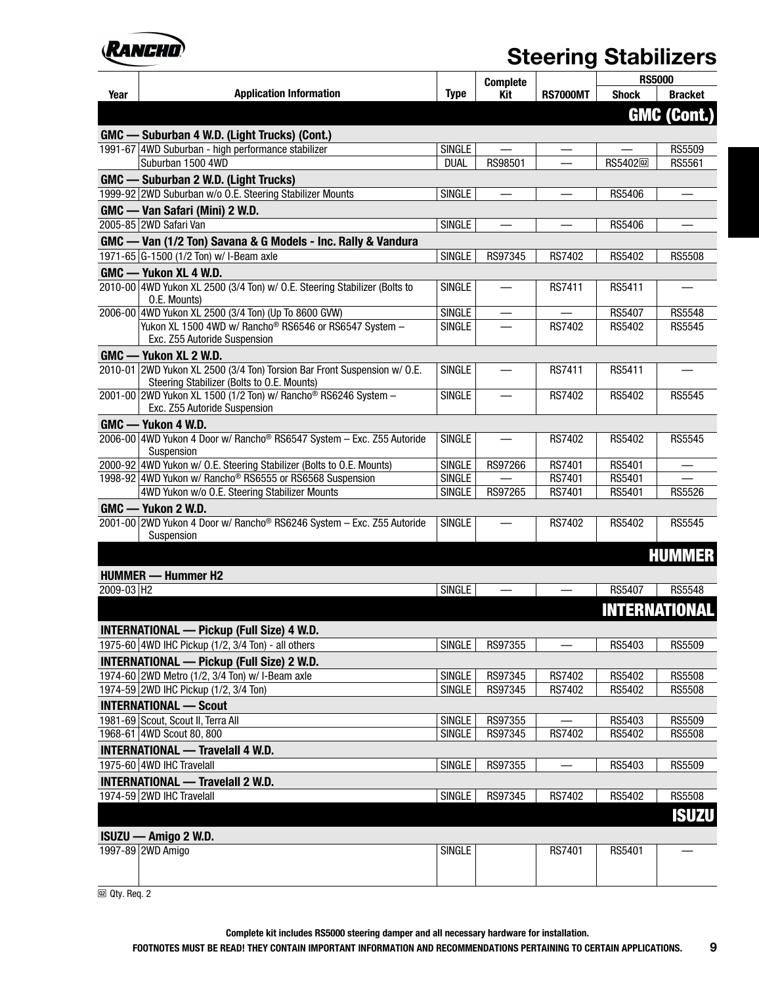

|                        |                                                                                                                        |               | <b>Complete</b> |                 | <b>RS5000</b>          |                      |
|------------------------|------------------------------------------------------------------------------------------------------------------------|---------------|-----------------|-----------------|------------------------|----------------------|
| Year                   | <b>Application Information</b>                                                                                         | <b>Type</b>   | Kit             | <b>RS7000MT</b> | <b>Shock</b>           | <b>Bracket</b>       |
|                        |                                                                                                                        |               |                 |                 |                        | <b>GMC (Cont.)</b>   |
|                        | GMC — Suburban 4 W.D. (Light Trucks) (Cont.)                                                                           |               |                 |                 |                        |                      |
|                        | 1991-67 4WD Suburban - high performance stabilizer                                                                     | <b>SINGLE</b> |                 |                 |                        | RS5509               |
|                        | Suburban 1500 4WD                                                                                                      | <b>DUAL</b>   | RS98501         |                 | RS5402 <sup>[22]</sup> | RS5561               |
|                        | GMC - Suburban 2 W.D. (Light Trucks)                                                                                   |               |                 |                 |                        |                      |
|                        | 1999-92 2WD Suburban w/o O.E. Steering Stabilizer Mounts                                                               | <b>SINGLE</b> |                 |                 | <b>RS5406</b>          |                      |
|                        | GMC - Van Safari (Mini) 2 W.D.                                                                                         |               |                 |                 |                        |                      |
|                        | 2005-85 2WD Safari Van                                                                                                 | <b>SINGLE</b> |                 |                 | RS5406                 |                      |
|                        | GMC - Van (1/2 Ton) Savana & G Models - Inc. Rally & Vandura                                                           |               |                 |                 |                        |                      |
|                        | 1971-65 G-1500 (1/2 Ton) w/ I-Beam axle                                                                                | SINGLE        | RS97345         | RS7402          | RS5402                 | <b>RS5508</b>        |
|                        | GMC - Yukon XL 4 W.D.                                                                                                  |               |                 |                 |                        |                      |
|                        | 2010-00 4WD Yukon XL 2500 (3/4 Ton) w/ O.E. Steering Stabilizer (Bolts to<br>0.E. Mounts)                              | <b>SINGLE</b> |                 | RS7411          | RS5411                 |                      |
|                        | 2006-00 4WD Yukon XL 2500 (3/4 Ton) (Up To 8600 GVW)                                                                   | <b>SINGLE</b> |                 |                 | RS5407                 | <b>RS5548</b>        |
|                        | Yukon XL 1500 4WD w/ Rancho® RS6546 or RS6547 System -<br>Exc. Z55 Autoride Suspension                                 | <b>SINGLE</b> |                 | RS7402          | RS5402                 | <b>RS5545</b>        |
|                        | GMC - Yukon XL 2 W.D.                                                                                                  |               |                 |                 |                        |                      |
|                        | 2010-01 2WD Yukon XL 2500 (3/4 Ton) Torsion Bar Front Suspension w/ O.E.<br>Steering Stabilizer (Bolts to O.E. Mounts) | <b>SINGLE</b> |                 | RS7411          | RS5411                 |                      |
|                        | 2001-00 2WD Yukon XL 1500 (1/2 Ton) w/ Rancho® RS6246 System -<br>Exc. Z55 Autoride Suspension                         | <b>SINGLE</b> |                 | <b>RS7402</b>   | RS5402                 | RS5545               |
|                        | GMC - Yukon 4 W.D.                                                                                                     |               |                 |                 |                        |                      |
|                        | 2006-00 4WD Yukon 4 Door w/ Rancho® RS6547 System - Exc. Z55 Autoride<br>Suspension                                    | <b>SINGLE</b> |                 | RS7402          | RS5402                 | RS5545               |
|                        | 2000-92 4WD Yukon w/ O.E. Steering Stabilizer (Bolts to O.E. Mounts)                                                   | <b>SINGLE</b> | RS97266         | RS7401          | RS5401                 |                      |
|                        | 1998-92 4WD Yukon w/ Rancho <sup>®</sup> RS6555 or RS6568 Suspension                                                   | <b>SINGLE</b> |                 | RS7401          | RS5401                 |                      |
|                        | 4WD Yukon w/o O.E. Steering Stabilizer Mounts                                                                          | <b>SINGLE</b> | RS97265         | RS7401          | RS5401                 | RS5526               |
|                        | GMC - Yukon 2 W.D.                                                                                                     |               |                 |                 |                        |                      |
|                        | 2001-00 2WD Yukon 4 Door w/ Rancho <sup>®</sup> RS6246 System - Exc. Z55 Autoride<br>Suspension                        | <b>SINGLE</b> |                 | RS7402          | RS5402                 | RS5545               |
|                        |                                                                                                                        |               |                 |                 |                        | <b>HUMMER</b>        |
|                        | <b>HUMMER</b> - Hummer H2                                                                                              |               |                 |                 |                        |                      |
| 2009-03 H <sub>2</sub> |                                                                                                                        | <b>SINGLE</b> |                 |                 | <b>RS5407</b>          | <b>RS5548</b>        |
|                        |                                                                                                                        |               |                 |                 |                        | <b>INTERNATIONAL</b> |
|                        |                                                                                                                        |               |                 |                 |                        |                      |
|                        | <b>INTERNATIONAL — Pickup (Full Size) 4 W.D.</b><br>1975-60 4WD IHC Pickup (1/2, 3/4 Ton) - all others                 | SINGLE        | RS97355         |                 | RS5403                 | RS5509               |
|                        | <b>INTERNATIONAL — Pickup (Full Size) 2 W.D.</b>                                                                       |               |                 |                 |                        |                      |
|                        | 1974-60 2WD Metro (1/2, 3/4 Ton) w/ I-Beam axle                                                                        | <b>SINGLE</b> | RS97345         | RS7402          | RS5402                 | <b>RS5508</b>        |
|                        | 1974-59 2WD IHC Pickup (1/2, 3/4 Ton)                                                                                  | <b>SINGLE</b> | RS97345         | RS7402          | RS5402                 | <b>RS5508</b>        |
|                        | <b>INTERNATIONAL - Scout</b>                                                                                           |               |                 |                 |                        |                      |
|                        | 1981-69 Scout, Scout II, Terra All                                                                                     | <b>SINGLE</b> | RS97355         |                 | RS5403                 | RS5509               |
|                        | 1968-61 4WD Scout 80, 800                                                                                              | <b>SINGLE</b> | RS97345         | <b>RS7402</b>   | RS5402                 | <b>RS5508</b>        |
|                        | <b>INTERNATIONAL - Travelall 4 W.D.</b>                                                                                |               |                 |                 |                        |                      |
|                        | 1975-60 4WD IHC Travelall                                                                                              | <b>SINGLE</b> | RS97355         |                 | RS5403                 | RS5509               |
|                        | <b>INTERNATIONAL — Travelall 2 W.D.</b>                                                                                |               |                 |                 |                        |                      |
|                        | 1974-59 2WD IHC Travelall                                                                                              | <b>SINGLE</b> | RS97345         | RS7402          | RS5402                 | <b>RS5508</b>        |
|                        |                                                                                                                        |               |                 |                 |                        | <b>ISUZU</b>         |
|                        |                                                                                                                        |               |                 |                 |                        |                      |
|                        | ISUZU - Amigo 2 W.D.<br>1997-89 2WD Amigo                                                                              | <b>SINGLE</b> |                 | RS7401          | RS5401                 |                      |
|                        |                                                                                                                        |               |                 |                 |                        |                      |

 $\overline{\omega}$  Qty. Req. 2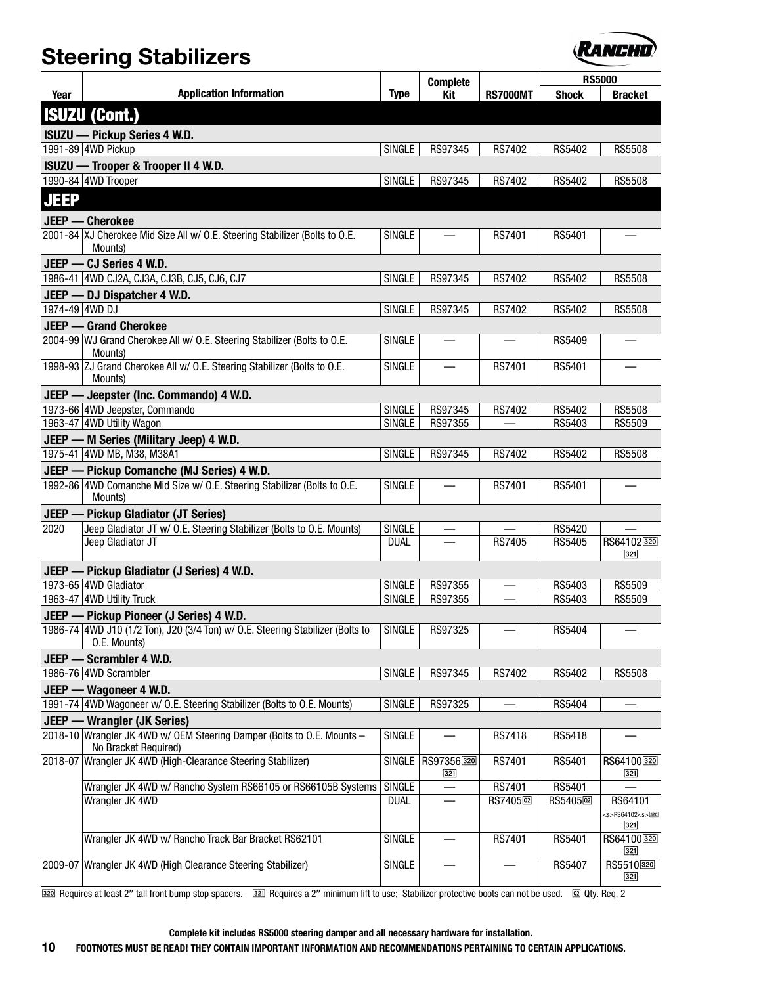

|                |                                                                                                |                    |                            |                        |                        | <b>RS5000</b>                    |
|----------------|------------------------------------------------------------------------------------------------|--------------------|----------------------------|------------------------|------------------------|----------------------------------|
| Year           | <b>Application Information</b>                                                                 | <b>Type</b>        | <b>Complete</b><br>Kit     | <b>RS7000MT</b>        | <b>Shock</b>           | <b>Bracket</b>                   |
|                | <b>ISUZU (Cont.)</b>                                                                           |                    |                            |                        |                        |                                  |
|                |                                                                                                |                    |                            |                        |                        |                                  |
|                | <b>ISUZU — Pickup Series 4 W.D.</b>                                                            |                    |                            |                        |                        |                                  |
|                | 1991-89 4WD Pickup                                                                             | SINGLE             | RS97345                    | RS7402                 | RS5402                 | <b>RS5508</b>                    |
|                | ISUZU - Trooper & Trooper II 4 W.D.<br>1990-84 4WD Trooper                                     | SINGLE             | RS97345                    | RS7402                 | RS5402                 | <b>RS5508</b>                    |
|                |                                                                                                |                    |                            |                        |                        |                                  |
| <b>JEEP</b>    |                                                                                                |                    |                            |                        |                        |                                  |
|                | JEEP - Cherokee                                                                                |                    |                            |                        |                        |                                  |
|                | 2001-84 XJ Cherokee Mid Size All w/ O.E. Steering Stabilizer (Bolts to O.E.<br>Mounts)         | <b>SINGLE</b>      |                            | RS7401                 | RS5401                 |                                  |
|                | JEEP - CJ Series 4 W.D.                                                                        |                    |                            |                        |                        |                                  |
|                | 1986-41 4WD CJ2A, CJ3A, CJ3B, CJ5, CJ6, CJ7                                                    | <b>SINGLE</b>      | RS97345                    | RS7402                 | RS5402                 | <b>RS5508</b>                    |
|                | JEEP - DJ Dispatcher 4 W.D.                                                                    |                    |                            |                        |                        |                                  |
| 1974-49 4WD DJ |                                                                                                | <b>SINGLE</b>      | RS97345                    | RS7402                 | RS5402                 | <b>RS5508</b>                    |
|                | <b>JEEP - Grand Cherokee</b>                                                                   |                    |                            |                        |                        |                                  |
|                | 2004-99 WJ Grand Cherokee All w/ O.E. Steering Stabilizer (Bolts to O.E.<br>Mounts)            | <b>SINGLE</b>      |                            |                        | <b>RS5409</b>          |                                  |
|                | 1998-93 ZJ Grand Cherokee All w/ O.E. Steering Stabilizer (Bolts to O.E.<br>Mounts)            | <b>SINGLE</b>      |                            | RS7401                 | RS5401                 |                                  |
|                | JEEP - Jeepster (Inc. Commando) 4 W.D.                                                         |                    |                            |                        |                        |                                  |
|                | 1973-66 4WD Jeepster, Commando                                                                 | <b>SINGLE</b>      | RS97345                    | RS7402                 | RS5402                 | <b>RS5508</b>                    |
|                | 1963-47 4WD Utility Wagon                                                                      | <b>SINGLE</b>      | RS97355                    |                        | RS5403                 | RS5509                           |
|                | JEEP - M Series (Military Jeep) 4 W.D.                                                         |                    |                            |                        |                        |                                  |
|                | 1975-41 4WD MB, M38, M38A1                                                                     | SINGLE             | RS97345                    | RS7402                 | RS5402                 | <b>RS5508</b>                    |
|                | JEEP - Pickup Comanche (MJ Series) 4 W.D.                                                      |                    |                            |                        |                        |                                  |
|                | 1992-86 4WD Comanche Mid Size w/ O.E. Steering Stabilizer (Bolts to O.E.<br>Mounts)            | <b>SINGLE</b>      |                            | RS7401                 | RS5401                 |                                  |
|                | <b>JEEP</b> - Pickup Gladiator (JT Series)                                                     |                    |                            |                        |                        |                                  |
| 2020           | Jeep Gladiator JT w/ O.E. Steering Stabilizer (Bolts to O.E. Mounts)                           | <b>SINGLE</b>      |                            |                        | RS5420                 |                                  |
|                | Jeep Gladiator JT                                                                              | <b>DUAL</b>        |                            | <b>RS7405</b>          | RS5405                 | RS64102320<br>321                |
|                | JEEP - Pickup Gladiator (J Series) 4 W.D.                                                      |                    |                            |                        |                        |                                  |
|                | 1973-65 4WD Gladiator                                                                          | <b>SINGLE</b>      | RS97355                    |                        | RS5403                 | RS5509                           |
|                | 1963-47 4WD Utility Truck                                                                      | <b>SINGLE</b>      | RS97355                    |                        | RS5403                 | <b>RS5509</b>                    |
|                | JEEP - Pickup Pioneer (J Series) 4 W.D.                                                        |                    |                            |                        |                        |                                  |
|                | 1986-74 4WD J10 (1/2 Ton), J20 (3/4 Ton) w/ O.E. Steering Stabilizer (Bolts to<br>O.E. Mounts) | SINGLE <sup></sup> | RS97325                    |                        | RS5404                 |                                  |
|                | JEEP - Scrambler 4 W.D.                                                                        |                    |                            |                        |                        |                                  |
|                | 1986-76 4WD Scrambler                                                                          | <b>SINGLE</b>      | RS97345                    | RS7402                 | RS5402                 | <b>RS5508</b>                    |
|                | JEEP - Wagoneer 4 W.D.                                                                         |                    |                            |                        |                        |                                  |
|                | 1991-74 4WD Wagoneer w/ O.E. Steering Stabilizer (Bolts to O.E. Mounts)                        | SINGLE             | RS97325                    |                        | RS5404                 |                                  |
|                | <b>JEEP - Wrangler (JK Series)</b>                                                             |                    |                            |                        |                        |                                  |
|                | 2018-10 Wrangler JK 4WD w/ OEM Steering Damper (Bolts to O.E. Mounts -<br>No Bracket Required) | <b>SINGLE</b>      |                            | RS7418                 | <b>RS5418</b>          |                                  |
|                | 2018-07 Wrangler JK 4WD (High-Clearance Steering Stabilizer)                                   |                    | SINGLE   RS97356320<br>321 | RS7401                 | RS5401                 | RS64100320<br>$321$              |
|                | Wrangler JK 4WD w/ Rancho System RS66105 or RS66105B Systems                                   | <b>SINGLE</b>      |                            | RS7401                 | RS5401                 |                                  |
|                | Wrangler JK 4WD                                                                                | <b>DUAL</b>        |                            | RS7405 <sub>[22]</sub> | RS5405 <sub>[22]</sub> | RS64101                          |
|                |                                                                                                |                    |                            |                        |                        | <s>RS64102<s>320<br/>321</s></s> |
|                | Wrangler JK 4WD w/ Rancho Track Bar Bracket RS62101                                            | <b>SINGLE</b>      |                            | RS7401                 | RS5401                 | RS64100320<br>321                |
|                | 2009-07 Wrangler JK 4WD (High Clearance Steering Stabilizer)                                   | <b>SINGLE</b>      |                            |                        | RS5407                 | RS5510320<br>321                 |

**BEQUIRE AS ALT ASSED** Requires at least 2" tall front bump stop spacers. **BEQUIRES** Requires a 2" minimum lift to use; Stabilizer protective boots can not be used. @ Qty. Req. 2

**Complete kit includes RS5000 steering damper and all necessary hardware for installation.**

**10 FOOTNOTES MUST BE READ! THEY CONTAIN IMPORTANT INFORMATION AND RECOMMENDATIONS PERTAINING TO CERTAIN APPLICATIONS.**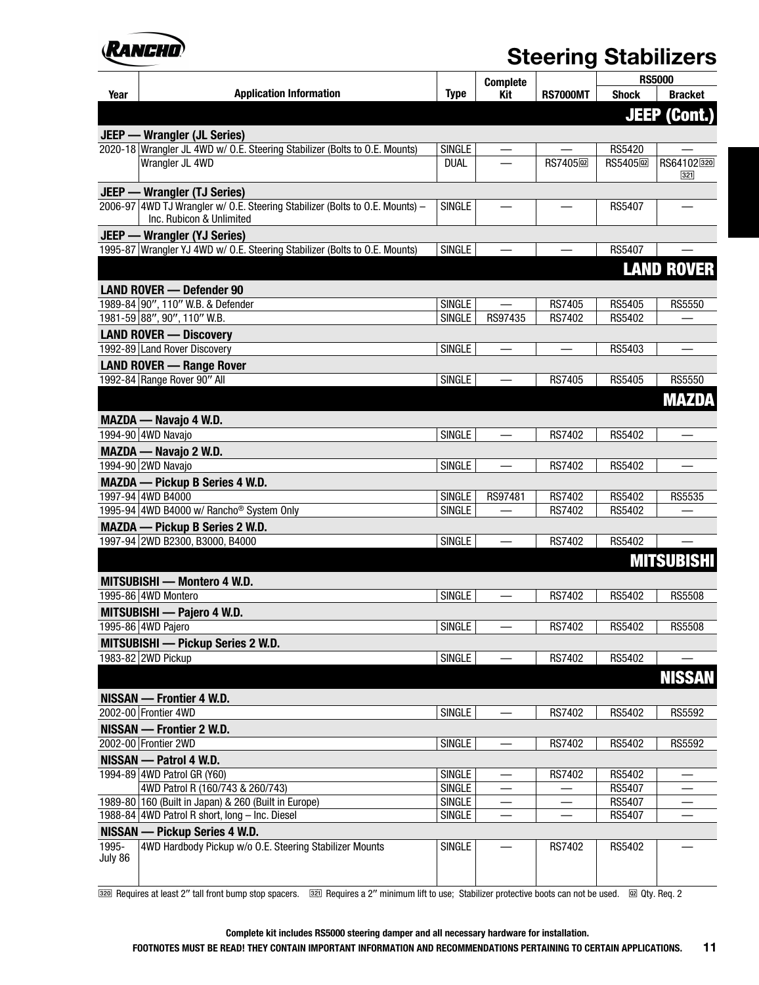

|         |                                                                                                          |                                | <b>Complete</b>          |                         |                         | <b>RS5000</b>       |
|---------|----------------------------------------------------------------------------------------------------------|--------------------------------|--------------------------|-------------------------|-------------------------|---------------------|
| Year    | <b>Application Information</b>                                                                           | <b>Type</b>                    | Kit                      | <b>RS7000MT</b>         | <b>Shock</b>            | <b>Bracket</b>      |
|         |                                                                                                          |                                |                          |                         |                         | <b>JEEP (Cont.)</b> |
|         | <b>JEEP</b> — Wrangler (JL Series)                                                                       |                                |                          |                         |                         |                     |
|         | 2020-18 Wrangler JL 4WD w/ O.E. Steering Stabilizer (Bolts to O.E. Mounts)                               | <b>SINGLE</b>                  |                          |                         | RS5420                  |                     |
|         | Wrangler JL 4WD                                                                                          | <b>DUAL</b>                    |                          | RS7405 <sub>[22</sub> ] | RS5405 <sub>[22</sub> ] | RS64102320          |
|         |                                                                                                          |                                |                          |                         |                         | 321                 |
|         | <b>JEEP - Wrangler (TJ Series)</b>                                                                       |                                |                          |                         |                         |                     |
|         | 2006-97 4WD TJ Wrangler w/ O.E. Steering Stabilizer (Bolts to O.E. Mounts) -<br>Inc. Rubicon & Unlimited | <b>SINGLE</b>                  |                          |                         | RS5407                  |                     |
|         | <b>JEEP — Wrangler (YJ Series)</b>                                                                       |                                |                          |                         |                         |                     |
|         | 1995-87 Wrangler YJ 4WD w/ O.E. Steering Stabilizer (Bolts to O.E. Mounts)                               | <b>SINGLE</b>                  |                          |                         | <b>RS5407</b>           |                     |
|         |                                                                                                          |                                |                          |                         |                         | <b>LAND ROVER</b>   |
|         | <b>LAND ROVER - Defender 90</b>                                                                          |                                |                          |                         |                         |                     |
|         | 1989-84 90", 110" W.B. & Defender                                                                        | <b>SINGLE</b>                  |                          | <b>RS7405</b>           | RS5405                  | RS5550              |
|         | 1981-59 88", 90", 110" W.B.                                                                              | <b>SINGLE</b>                  | RS97435                  | RS7402                  | RS5402                  |                     |
|         | <b>LAND ROVER - Discovery</b>                                                                            |                                |                          |                         |                         |                     |
|         | 1992-89 Land Rover Discovery                                                                             | <b>SINGLE</b>                  | —                        |                         | RS5403                  |                     |
|         | <b>LAND ROVER - Range Rover</b>                                                                          |                                |                          |                         |                         |                     |
|         | 1992-84 Range Rover 90" All                                                                              | <b>SINGLE</b>                  | $\overline{\phantom{0}}$ | RS7405                  | RS5405                  | <b>RS5550</b>       |
|         |                                                                                                          |                                |                          |                         |                         | <b>MAZDA</b>        |
|         |                                                                                                          |                                |                          |                         |                         |                     |
|         | MAZDA — Navajo 4 W.D.<br>1994-90 4WD Navajo                                                              | <b>SINGLE</b>                  |                          | RS7402                  | RS5402                  |                     |
|         |                                                                                                          |                                |                          |                         |                         |                     |
|         | MAZDA - Navajo 2 W.D.                                                                                    |                                |                          |                         |                         |                     |
|         | 1994-90 2WD Navajo                                                                                       | <b>SINGLE</b>                  |                          | RS7402                  | RS5402                  |                     |
|         | <b>MAZDA</b> - Pickup B Series 4 W.D.                                                                    |                                |                          |                         |                         |                     |
|         | 1997-94 4WD B4000<br>1995-94 4WD B4000 w/ Rancho <sup>®</sup> System Only                                | <b>SINGLE</b><br><b>SINGLE</b> | RS97481                  | RS7402<br>RS7402        | RS5402<br>RS5402        | RS5535              |
|         |                                                                                                          |                                |                          |                         |                         |                     |
|         | <b>MAZDA</b> — Pickup B Series 2 W.D.<br>1997-94 2WD B2300, B3000, B4000                                 | <b>SINGLE</b>                  |                          | RS7402                  | RS5402                  |                     |
|         |                                                                                                          |                                |                          |                         |                         |                     |
|         |                                                                                                          |                                |                          |                         |                         | <b>MITSUBISHI</b>   |
|         | MITSUBISHI - Montero 4 W.D.                                                                              |                                |                          |                         |                         |                     |
|         | 1995-86 4WD Montero                                                                                      | <b>SINGLE</b>                  |                          | RS7402                  | RS5402                  | <b>RS5508</b>       |
|         | MITSUBISHI - Pajero 4 W.D.                                                                               |                                |                          |                         |                         |                     |
|         | 1995-86 4WD Pajero                                                                                       | <b>SINGLE</b>                  |                          | RS7402                  | RS5402                  | <b>RS5508</b>       |
|         | <b>MITSUBISHI — Pickup Series 2 W.D.</b>                                                                 |                                |                          |                         |                         |                     |
|         | 1983-82 2WD Pickup                                                                                       | SINGLE                         |                          | RS7402                  | RS5402                  |                     |
|         |                                                                                                          |                                |                          |                         |                         | <b>NISSAN</b>       |
|         | NISSAN - Frontier 4 W.D.                                                                                 |                                |                          |                         |                         |                     |
|         | 2002-00 Frontier 4WD                                                                                     | <b>SINGLE</b>                  |                          | RS7402                  | RS5402                  | RS5592              |
|         | NISSAN - Frontier 2 W.D.                                                                                 |                                |                          |                         |                         |                     |
|         | 2002-00 Frontier 2WD                                                                                     | <b>SINGLE</b>                  |                          | RS7402                  | RS5402                  | RS5592              |
|         | NISSAN - Patrol 4 W.D.                                                                                   |                                |                          |                         |                         |                     |
|         | 1994-89 4WD Patrol GR (Y60)                                                                              | <b>SINGLE</b>                  |                          | RS7402                  | RS5402                  |                     |
|         | 4WD Patrol R (160/743 & 260/743)                                                                         | <b>SINGLE</b>                  | —                        |                         | RS5407                  |                     |
|         | 1989-80 160 (Built in Japan) & 260 (Built in Europe)                                                     | <b>SINGLE</b>                  | —                        |                         | RS5407                  |                     |
|         | 1988-84 4WD Patrol R short, long - Inc. Diesel                                                           | <b>SINGLE</b>                  |                          |                         | RS5407                  |                     |
|         | <b>NISSAN — Pickup Series 4 W.D.</b>                                                                     |                                |                          |                         |                         |                     |
| 1995-   | 4WD Hardbody Pickup w/o O.E. Steering Stabilizer Mounts                                                  | <b>SINGLE</b>                  |                          | RS7402                  | RS5402                  |                     |
| July 86 |                                                                                                          |                                |                          |                         |                         |                     |
|         |                                                                                                          |                                |                          |                         |                         |                     |

**BEG 20** Requires at least 2" tall front bump stop spacers. **BEG** Requires a 2" minimum lift to use; Stabilizer protective boots can not be used. @ Qty. Req. 2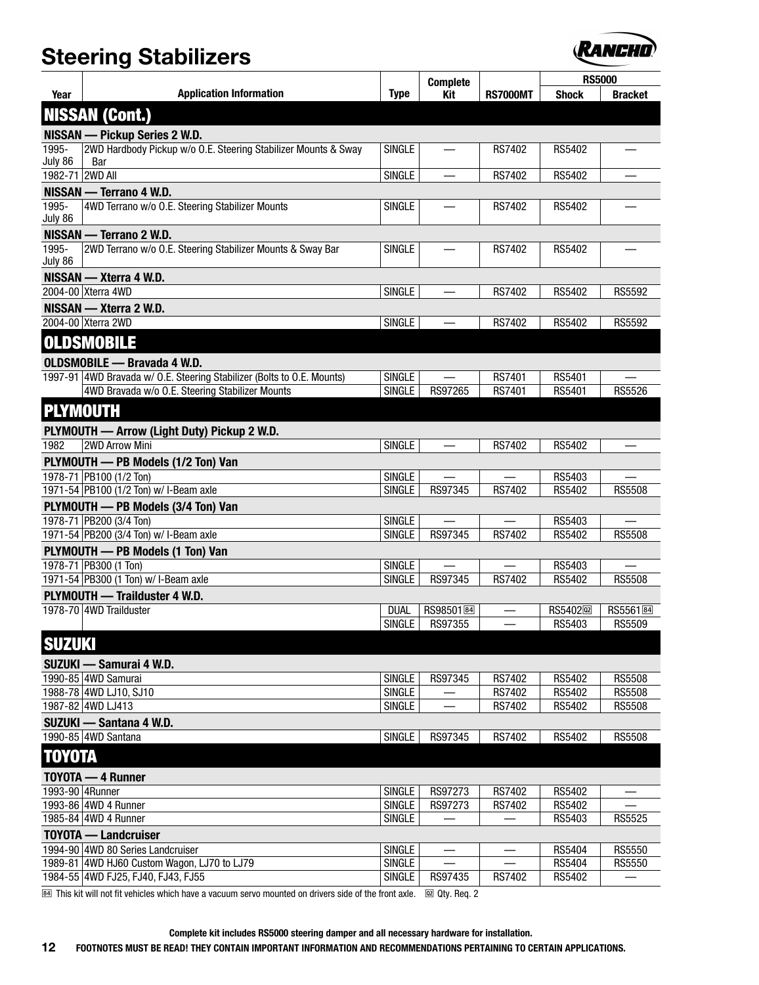

|                  |                                                                        |               |                        |                          | <b>RS5000</b>          |                      |
|------------------|------------------------------------------------------------------------|---------------|------------------------|--------------------------|------------------------|----------------------|
| Year             | <b>Application Information</b>                                         | <b>Type</b>   | <b>Complete</b><br>Kit | <b>RS7000MT</b>          | <b>Shock</b>           | <b>Bracket</b>       |
|                  | <b>NISSAN (Cont.)</b>                                                  |               |                        |                          |                        |                      |
|                  | NISSAN - Pickup Series 2 W.D.                                          |               |                        |                          |                        |                      |
| 1995-<br>July 86 | 2WD Hardbody Pickup w/o O.E. Steering Stabilizer Mounts & Sway<br>Bar  | <b>SINGLE</b> |                        | RS7402                   | RS5402                 |                      |
| 1982-71 2WD All  |                                                                        | <b>SINGLE</b> |                        | RS7402                   | RS5402                 |                      |
|                  | NISSAN - Terrano 4 W.D.                                                |               |                        |                          |                        |                      |
| 1995-            | 4WD Terrano w/o O.E. Steering Stabilizer Mounts                        | <b>SINGLE</b> | $\equiv$               | RS7402                   | RS5402                 |                      |
| July 86          |                                                                        |               |                        |                          |                        |                      |
|                  | NISSAN — Terrano 2 W.D.                                                |               |                        |                          |                        |                      |
| 1995-<br>July 86 | 2WD Terrano w/o O.E. Steering Stabilizer Mounts & Sway Bar             | <b>SINGLE</b> |                        | RS7402                   | RS5402                 |                      |
|                  | NISSAN - Xterra 4 W.D.                                                 |               |                        |                          |                        |                      |
|                  | 2004-00 Xterra 4WD                                                     | <b>SINGLE</b> |                        | RS7402                   | RS5402                 | RS5592               |
|                  | NISSAN - Xterra 2 W.D.                                                 |               |                        |                          |                        |                      |
|                  | 2004-00 Xterra 2WD                                                     | SINGLE        |                        | RS7402                   | RS5402                 | RS5592               |
|                  | <b>OLDSMOBILE</b>                                                      |               |                        |                          |                        |                      |
|                  | <b>OLDSMOBILE - Bravada 4 W.D.</b>                                     |               |                        |                          |                        |                      |
|                  | 1997-91 4WD Bravada w/ O.E. Steering Stabilizer (Bolts to O.E. Mounts) | <b>SINGLE</b> |                        | RS7401                   | RS5401                 |                      |
|                  | 4WD Bravada w/o O.E. Steering Stabilizer Mounts                        | <b>SINGLE</b> | RS97265                | <b>RS7401</b>            | <b>RS5401</b>          | RS5526               |
|                  | <b>PLYMOUTH</b>                                                        |               |                        |                          |                        |                      |
|                  | PLYMOUTH - Arrow (Light Duty) Pickup 2 W.D.                            |               |                        |                          |                        |                      |
| 1982             | 2WD Arrow Mini                                                         | <b>SINGLE</b> | —                      | RS7402                   | RS5402                 |                      |
|                  | PLYMOUTH - PB Models (1/2 Ton) Van                                     |               |                        |                          |                        |                      |
|                  | 1978-71 PB100 (1/2 Ton)                                                | <b>SINGLE</b> |                        |                          | RS5403                 |                      |
|                  | 1971-54 PB100 (1/2 Ton) w/ I-Beam axle                                 | SINGLE        | RS97345                | RS7402                   | RS5402                 | <b>RS5508</b>        |
|                  | PLYMOUTH - PB Models (3/4 Ton) Van                                     |               |                        |                          |                        |                      |
|                  | 1978-71 PB200 (3/4 Ton)                                                | <b>SINGLE</b> |                        |                          | RS5403                 |                      |
|                  | 1971-54 PB200 (3/4 Ton) w/ I-Beam axle                                 | <b>SINGLE</b> | RS97345                | RS7402                   | RS5402                 | <b>RS5508</b>        |
|                  | PLYMOUTH - PB Models (1 Ton) Van                                       |               |                        |                          |                        |                      |
|                  | 1978-71 PB300 (1 Ton)                                                  | <b>SINGLE</b> |                        | $\overline{\phantom{0}}$ | RS5403                 |                      |
|                  | 1971-54 PB300 (1 Ton) w/ I-Beam axle                                   | <b>SINGLE</b> | RS97345                | RS7402                   | RS5402                 | <b>RS5508</b>        |
|                  | PLYMOUTH - Trailduster 4 W.D.                                          |               |                        |                          |                        |                      |
|                  | 1978-70 4WD Trailduster                                                | <b>DUAL</b>   | RS98501图               |                          | RS5402 <sub>[22]</sub> | RS5561 <sup>84</sup> |
|                  |                                                                        | <b>SINGLE</b> | RS97355                |                          | RS5403                 | <b>RS5509</b>        |
|                  |                                                                        |               |                        |                          |                        |                      |
| <b>SUZUKI</b>    |                                                                        |               |                        |                          |                        |                      |
|                  | SUZUKI — Samurai 4 W.D.                                                |               |                        |                          |                        |                      |
|                  | 1990-85 4WD Samurai                                                    | <b>SINGLE</b> | RS97345                | RS7402                   | RS5402                 | <b>RS5508</b>        |
|                  | 1988-78 4WD LJ10, SJ10                                                 | <b>SINGLE</b> |                        | RS7402                   | RS5402                 | <b>RS5508</b>        |
|                  | 1987-82 4WD LJ413                                                      | <b>SINGLE</b> |                        | RS7402                   | RS5402                 | <b>RS5508</b>        |
|                  | SUZUKI - Santana 4 W.D.                                                |               |                        |                          |                        |                      |
|                  | 1990-85 4WD Santana                                                    | SINGLE        | RS97345                | RS7402                   | RS5402                 | <b>RS5508</b>        |
| TOYOTA           |                                                                        |               |                        |                          |                        |                      |
|                  | TOYOTA - 4 Runner                                                      |               |                        |                          |                        |                      |
|                  | 1993-90 4Runner                                                        | <b>SINGLE</b> | RS97273                | RS7402                   | RS5402                 |                      |
|                  | 1993-86 4WD 4 Runner                                                   | <b>SINGLE</b> | RS97273                | RS7402                   | RS5402                 |                      |
|                  | 1985-84 4WD 4 Runner                                                   | <b>SINGLE</b> |                        |                          | RS5403                 | RS5525               |
|                  | <b>TOYOTA — Landcruiser</b>                                            |               |                        |                          |                        |                      |
|                  | 1994-90 4WD 80 Series Landcruiser                                      | SINGLE        |                        |                          | RS5404                 | <b>RS5550</b>        |
|                  | 1989-81 4WD HJ60 Custom Wagon, LJ70 to LJ79                            | <b>SINGLE</b> |                        |                          | RS5404                 | <b>RS5550</b>        |
|                  | 1984-55 4WD FJ25, FJ40, FJ43, FJ55                                     | <b>SINGLE</b> | RS97435                | RS7402                   | RS5402                 |                      |

**M** This kit will not fit vehicles which have a vacuum servo mounted on drivers side of the front axle. <br> **M** Qty. Req. 2